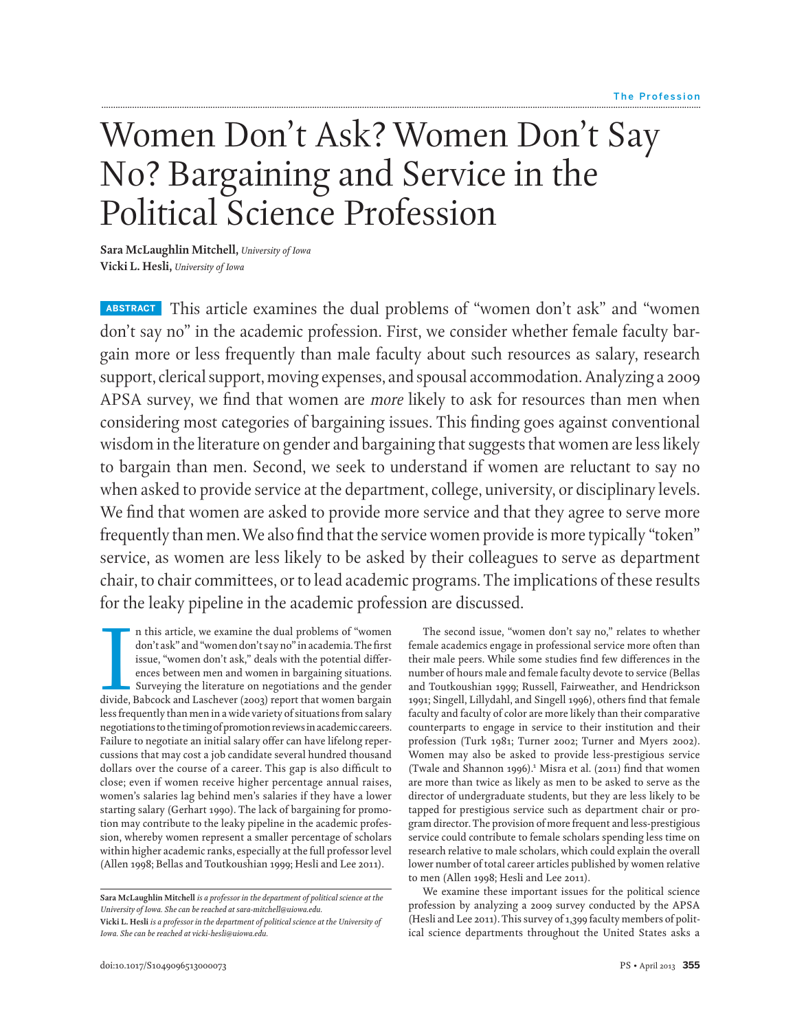# Women Don't Ask? Women Don't Say No? Bargaining and Service in the Political Science Profession

**Sara McLaughlin Mitchell,** *University of Iowa* **Vicki L. Hesli,** *University of Iowa*

**ABSTRACT** This article examines the dual problems of "women don't ask" and "women don't say no" in the academic profession. First, we consider whether female faculty bargain more or less frequently than male faculty about such resources as salary, research support, clerical support, moving expenses, and spousal accommodation. Analyzing a 2009 APSA survey, we find that women are *more* likely to ask for resources than men when considering most categories of bargaining issues. This finding goes against conventional wisdom in the literature on gender and bargaining that suggests that women are less likely to bargain than men. Second, we seek to understand if women are reluctant to say no when asked to provide service at the department, college, university, or disciplinary levels. We find that women are asked to provide more service and that they agree to serve more frequently than men.We also find that the service women provide is more typically "token" service, as women are less likely to be asked by their colleagues to serve as department chair, to chair committees, or to lead academic programs. The implications of these results for the leaky pipeline in the academic profession are discussed.

In this article, we examine the dual problems of "women<br>don't ask" and "women don't say no" in academia. The first<br>issue, "women don't ask," deals with the potential differ-<br>ences between men and women in bargaining situat n this article, we examine the dual problems of "women don't ask" and "women don't say no"in academia.The first issue, "women don't ask," deals with the potential differences between men and women in bargaining situations. Surveying the literature on negotiations and the gender less frequently than men in a wide variety of situations from salary negotiations to the timing of promotion reviews in academic careers. Failure to negotiate an initial salary offer can have lifelong repercussions that may cost a job candidate several hundred thousand dollars over the course of a career. This gap is also difficult to close; even if women receive higher percentage annual raises, women's salaries lag behind men's salaries if they have a lower starting salary (Gerhart 1990). The lack of bargaining for promotion may contribute to the leaky pipeline in the academic profession, whereby women represent a smaller percentage of scholars within higher academic ranks, especially at the full professor level (Allen 1998; Bellas and Toutkoushian 1999; Hesli and Lee 2011).

The second issue, "women don't say no," relates to whether female academics engage in professional service more often than their male peers. While some studies find few differences in the number of hours male and female faculty devote to service (Bellas and Toutkoushian 1999; Russell, Fairweather, and Hendrickson 1991; Singell, Lillydahl, and Singell 1996), others find that female faculty and faculty of color are more likely than their comparative counterparts to engage in service to their institution and their profession (Turk 1981; Turner 2002; Turner and Myers 2002). Women may also be asked to provide less-prestigious service (Twale and Shannon 1996).<sup>1</sup> Misra et al. (2011) find that women are more than twice as likely as men to be asked to serve as the director of undergraduate students, but they are less likely to be tapped for prestigious service such as department chair or program director.The provision of more frequent and less-prestigious service could contribute to female scholars spending less time on research relative to male scholars, which could explain the overall lower number of total career articles published by women relative to men (Allen 1998; Hesli and Lee 2011).

We examine these important issues for the political science profession by analyzing a 2009 survey conducted by the APSA (Hesli and Lee 2011). This survey of 1,399 faculty members of political science departments throughout the United States asks a

**Sara McLaughlin Mitchell** *is a professor in the department of political science at the University of Iowa. She can be reached at sara-mitchell@uiowa.edu.* **Vicki L. Hesli** *is a professor in the department of political science at the University of Iowa. She can be reached at vicki-hesli@uiowa.edu.*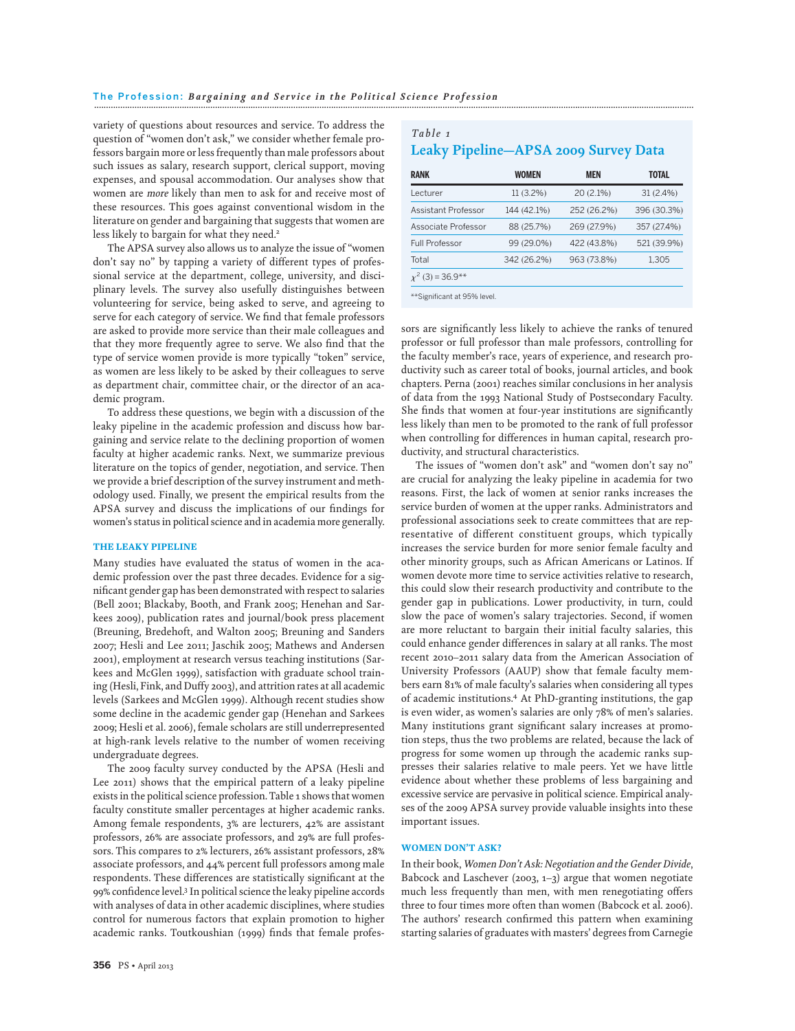variety of questions about resources and service. To address the question of "women don't ask," we consider whether female professors bargain more or less frequently than male professors about such issues as salary, research support, clerical support, moving expenses, and spousal accommodation. Our analyses show that women are *more* likely than men to ask for and receive most of these resources. This goes against conventional wisdom in the literature on gender and bargaining that suggests that women are less likely to bargain for what they need.<sup>2</sup>

The APSA survey also allows us to analyze the issue of "women don't say no" by tapping a variety of different types of professional service at the department, college, university, and disciplinary levels. The survey also usefully distinguishes between volunteering for service, being asked to serve, and agreeing to serve for each category of service. We find that female professors are asked to provide more service than their male colleagues and that they more frequently agree to serve. We also find that the type of service women provide is more typically "token" service, as women are less likely to be asked by their colleagues to serve as department chair, committee chair, or the director of an academic program.

To address these questions, we begin with a discussion of the leaky pipeline in the academic profession and discuss how bargaining and service relate to the declining proportion of women faculty at higher academic ranks. Next, we summarize previous literature on the topics of gender, negotiation, and service. Then we provide a brief description of the survey instrument and methodology used. Finally, we present the empirical results from the APSA survey and discuss the implications of our findings for women's status in political science and in academia more generally.

#### THE LEAKY PIPELINE

Many studies have evaluated the status of women in the academic profession over the past three decades. Evidence for a significant gender gap has been demonstrated with respect to salaries (Bell 2001; Blackaby, Booth, and Frank 2005; Henehan and Sarkees 2009), publication rates and journal/book press placement (Breuning, Bredehoft, and Walton 2005; Breuning and Sanders 2007; Hesli and Lee 2011; Jaschik 2005; Mathews and Andersen 2001), employment at research versus teaching institutions (Sarkees and McGlen 1999), satisfaction with graduate school training (Hesli, Fink, and Duffy 2003), and attrition rates at all academic levels (Sarkees and McGlen 1999). Although recent studies show some decline in the academic gender gap (Henehan and Sarkees 2009; Hesli et al. 2006), female scholars are still underrepresented at high-rank levels relative to the number of women receiving undergraduate degrees.

The 2009 faculty survey conducted by the APSA (Hesli and Lee 2011) shows that the empirical pattern of a leaky pipeline exists in the political science profession.Table 1 shows that women faculty constitute smaller percentages at higher academic ranks. Among female respondents, 3% are lecturers, 42% are assistant professors, 26% are associate professors, and 29% are full professors. This compares to 2% lecturers, 26% assistant professors, 28% associate professors, and 44% percent full professors among male respondents. These differences are statistically significant at the 99% confidence level.3 In political science the leaky pipeline accords with analyses of data in other academic disciplines, where studies control for numerous factors that explain promotion to higher academic ranks. Toutkoushian (1999) finds that female profes-

## *Table 1* **Leaky Pipeline—APSA 2009 Survey Data**

| <b>RANK</b>           | WOMEN       | <b>MEN</b>  | <b>TOTAL</b> |
|-----------------------|-------------|-------------|--------------|
| Lecturer              | 11 (3.2%)   | 20 (2.1%)   | $31(2.4\%)$  |
| Assistant Professor   | 144 (42.1%) | 252 (26.2%) | 396 (30.3%)  |
| Associate Professor   | 88 (25.7%)  | 269 (27.9%) | 357 (27.4%)  |
| <b>Full Professor</b> | 99 (29.0%)  | 422 (43.8%) | 521 (39.9%)  |
| Total                 | 342 (26.2%) | 963 (73.8%) | 1.305        |
| $\chi^2$ (3) = 36.9** |             |             |              |
|                       |             |             |              |

\*\*Significant at 95% level.

sors are significantly less likely to achieve the ranks of tenured professor or full professor than male professors, controlling for the faculty member's race, years of experience, and research productivity such as career total of books, journal articles, and book chapters. Perna (2001) reaches similar conclusions in her analysis of data from the 1993 National Study of Postsecondary Faculty. She finds that women at four-year institutions are significantly less likely than men to be promoted to the rank of full professor when controlling for differences in human capital, research productivity, and structural characteristics.

The issues of "women don't ask" and "women don't say no" are crucial for analyzing the leaky pipeline in academia for two reasons. First, the lack of women at senior ranks increases the service burden of women at the upper ranks. Administrators and professional associations seek to create committees that are representative of different constituent groups, which typically increases the service burden for more senior female faculty and other minority groups, such as African Americans or Latinos. If women devote more time to service activities relative to research, this could slow their research productivity and contribute to the gender gap in publications. Lower productivity, in turn, could slow the pace of women's salary trajectories. Second, if women are more reluctant to bargain their initial faculty salaries, this could enhance gender differences in salary at all ranks. The most recent 2010–2011 salary data from the American Association of University Professors (AAUP) show that female faculty members earn 81% of male faculty's salaries when considering all types of academic institutions.4 At PhD-granting institutions, the gap is even wider, as women's salaries are only 78% of men's salaries. Many institutions grant significant salary increases at promotion steps, thus the two problems are related, because the lack of progress for some women up through the academic ranks suppresses their salaries relative to male peers. Yet we have little evidence about whether these problems of less bargaining and excessive service are pervasive in political science. Empirical analyses of the 2009 APSA survey provide valuable insights into these important issues.

#### WOMEN DON'T ASK?

In their book, *Women Don't Ask: Negotiation and the Gender Divide*, Babcock and Laschever (2003, 1–3) argue that women negotiate much less frequently than men, with men renegotiating offers three to four times more often than women (Babcock et al. 2006). The authors' research confirmed this pattern when examining starting salaries of graduates with masters' degrees from Carnegie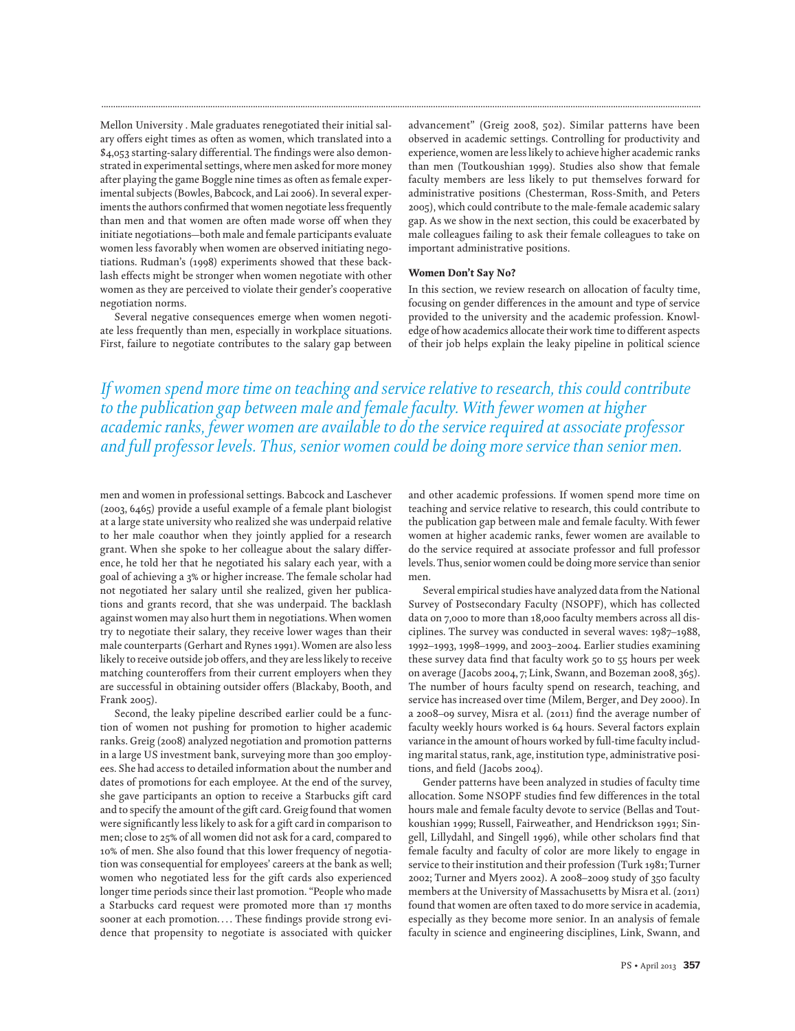Mellon University . Male graduates renegotiated their initial salary offers eight times as often as women, which translated into a \$4,053 starting-salary differential. The findings were also demonstrated in experimental settings, where men asked for more money after playing the game Boggle nine times as often as female experimental subjects (Bowles, Babcock, and Lai 2006). In several experiments the authors confirmed that women negotiate less frequently than men and that women are often made worse off when they initiate negotiations—both male and female participants evaluate women less favorably when women are observed initiating negotiations. Rudman's (1998) experiments showed that these backlash effects might be stronger when women negotiate with other women as they are perceived to violate their gender's cooperative negotiation norms.

Several negative consequences emerge when women negotiate less frequently than men, especially in workplace situations. First, failure to negotiate contributes to the salary gap between advancement" (Greig 2008, 502). Similar patterns have been observed in academic settings. Controlling for productivity and experience, women are less likely to achieve higher academic ranks than men (Toutkoushian 1999). Studies also show that female faculty members are less likely to put themselves forward for administrative positions (Chesterman, Ross-Smith, and Peters 2005), which could contribute to the male-female academic salary gap. As we show in the next section, this could be exacerbated by male colleagues failing to ask their female colleagues to take on important administrative positions.

#### Women Don't Say No?

In this section, we review research on allocation of faculty time, focusing on gender differences in the amount and type of service provided to the university and the academic profession. Knowledge of how academics allocate their work time to different aspects of their job helps explain the leaky pipeline in political science

*If women spend more time on teaching and service relative to research, this could contribute to the publication gap between male and female faculty.With fewer women at higher academic ranks, fewer women are available to do the service required at associate professor and full professor levels. Thus, senior women could be doing more service than senior men.*

**.............................................................................................................................................................................................................................................................**

men and women in professional settings. Babcock and Laschever (2003, 6465) provide a useful example of a female plant biologist at a large state university who realized she was underpaid relative to her male coauthor when they jointly applied for a research grant. When she spoke to her colleague about the salary difference, he told her that he negotiated his salary each year, with a goal of achieving a 3% or higher increase. The female scholar had not negotiated her salary until she realized, given her publications and grants record, that she was underpaid. The backlash against women may also hurt them in negotiations.When women try to negotiate their salary, they receive lower wages than their male counterparts (Gerhart and Rynes 1991).Women are also less likely to receive outside job offers, and they are less likely to receive matching counteroffers from their current employers when they are successful in obtaining outsider offers (Blackaby, Booth, and Frank 2005).

Second, the leaky pipeline described earlier could be a function of women not pushing for promotion to higher academic ranks. Greig (2008) analyzed negotiation and promotion patterns in a large US investment bank, surveying more than 300 employees. She had access to detailed information about the number and dates of promotions for each employee. At the end of the survey, she gave participants an option to receive a Starbucks gift card and to specify the amount of the gift card. Greig found that women were significantly less likely to ask for a gift card in comparison to men; close to 25% of all women did not ask for a card, compared to 10% of men. She also found that this lower frequency of negotiation was consequential for employees' careers at the bank as well; women who negotiated less for the gift cards also experienced longer time periods since their last promotion. "People who made a Starbucks card request were promoted more than 17 months sooner at each promotion.... These findings provide strong evidence that propensity to negotiate is associated with quicker

and other academic professions. If women spend more time on teaching and service relative to research, this could contribute to the publication gap between male and female faculty. With fewer women at higher academic ranks, fewer women are available to do the service required at associate professor and full professor levels.Thus, senior women could be doing more service than senior men.

Several empirical studies have analyzed data from the National Survey of Postsecondary Faculty (NSOPF), which has collected data on 7,000 to more than 18,000 faculty members across all disciplines. The survey was conducted in several waves: 1987–1988, 1992–1993, 1998–1999, and 2003–2004. Earlier studies examining these survey data find that faculty work 50 to 55 hours per week on average (Jacobs 2004, 7; Link, Swann, and Bozeman 2008, 365). The number of hours faculty spend on research, teaching, and service has increased over time (Milem, Berger, and Dey 2000). In a 2008–09 survey, Misra et al. (2011) find the average number of faculty weekly hours worked is 64 hours. Several factors explain variance in the amount of hours worked by full-time faculty including marital status, rank, age, institution type, administrative positions, and field (Jacobs 2004).

Gender patterns have been analyzed in studies of faculty time allocation. Some NSOPF studies find few differences in the total hours male and female faculty devote to service (Bellas and Toutkoushian 1999; Russell, Fairweather, and Hendrickson 1991; Singell, Lillydahl, and Singell 1996), while other scholars find that female faculty and faculty of color are more likely to engage in service to their institution and their profession (Turk 1981; Turner 2002; Turner and Myers 2002). A 2008–2009 study of 350 faculty members at the University of Massachusetts by Misra et al. (2011) found that women are often taxed to do more service in academia, especially as they become more senior. In an analysis of female faculty in science and engineering disciplines, Link, Swann, and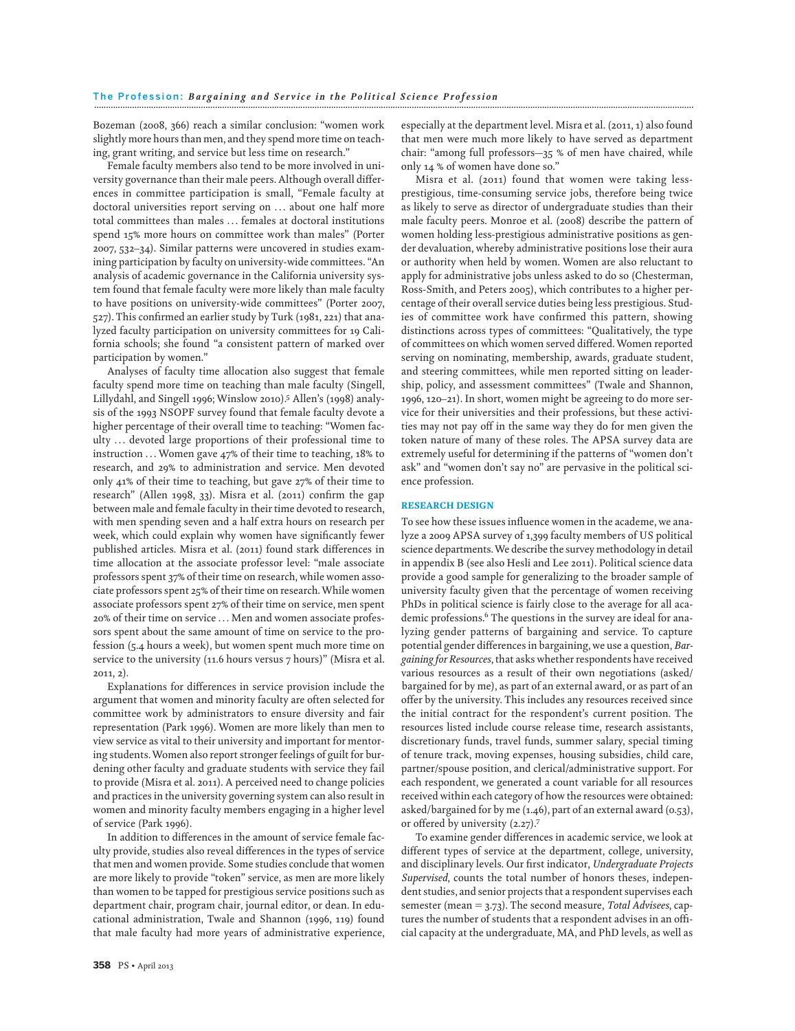Bozeman (2008, 366) reach a similar conclusion: "women work slightly more hours than men, and they spend more time on teaching, grant writing, and service but less time on research."

Female faculty members also tend to be more involved in university governance than their male peers. Although overall differences in committee participation is small, "Female faculty at doctoral universities report serving on ... about one half more total committees than males ... females at doctoral institutions spend 15% more hours on committee work than males" (Porter 2007, 532–34). Similar patterns were uncovered in studies examining participation by faculty on university-wide committees. "An analysis of academic governance in the California university system found that female faculty were more likely than male faculty to have positions on university-wide committees" (Porter 2007, 527). This confirmed an earlier study by Turk (1981, 221) that analyzed faculty participation on university committees for 19 California schools; she found "a consistent pattern of marked over participation by women."

Analyses of faculty time allocation also suggest that female faculty spend more time on teaching than male faculty (Singell, Lillydahl, and Singell 1996; Winslow 2010).5 Allen's (1998) analysis of the 1993 NSOPF survey found that female faculty devote a higher percentage of their overall time to teaching: "Women faculty ... devoted large proportions of their professional time to instruction ... Women gave 47% of their time to teaching, 18% to research, and 29% to administration and service. Men devoted only 41% of their time to teaching, but gave 27% of their time to research" (Allen 1998, 33). Misra et al. (2011) confirm the gap between male and female faculty in their time devoted to research, with men spending seven and a half extra hours on research per week, which could explain why women have significantly fewer published articles. Misra et al. (2011) found stark differences in time allocation at the associate professor level: "male associate professors spent 37% of their time on research, while women associate professors spent 25% of their time on research.While women associate professors spent 27% of their time on service, men spent 20% of their time on service . . . Men and women associate professors spent about the same amount of time on service to the profession (5.4 hours a week), but women spent much more time on service to the university (11.6 hours versus 7 hours)" (Misra et al. 2011, 2).

Explanations for differences in service provision include the argument that women and minority faculty are often selected for committee work by administrators to ensure diversity and fair representation (Park 1996). Women are more likely than men to view service as vital to their university and important for mentoring students.Women also report stronger feelings of guilt for burdening other faculty and graduate students with service they fail to provide (Misra et al. 2011). A perceived need to change policies and practices in the university governing system can also result in women and minority faculty members engaging in a higher level of service (Park 1996).

In addition to differences in the amount of service female faculty provide, studies also reveal differences in the types of service that men and women provide. Some studies conclude that women are more likely to provide "token" service, as men are more likely than women to be tapped for prestigious service positions such as department chair, program chair, journal editor, or dean. In educational administration, Twale and Shannon (1996, 119) found that male faculty had more years of administrative experience,

especially at the department level. Misra et al. (2011, 1) also found that men were much more likely to have served as department chair: "among full professors—35 % of men have chaired, while only 14 % of women have done so."

Misra et al. (2011) found that women were taking lessprestigious, time-consuming service jobs, therefore being twice as likely to serve as director of undergraduate studies than their male faculty peers. Monroe et al. (2008) describe the pattern of women holding less-prestigious administrative positions as gender devaluation, whereby administrative positions lose their aura or authority when held by women. Women are also reluctant to apply for administrative jobs unless asked to do so (Chesterman, Ross-Smith, and Peters 2005), which contributes to a higher percentage of their overall service duties being less prestigious. Studies of committee work have confirmed this pattern, showing distinctions across types of committees: "Qualitatively, the type of committees on which women served differed.Women reported serving on nominating, membership, awards, graduate student, and steering committees, while men reported sitting on leadership, policy, and assessment committees" (Twale and Shannon, 1996, 120–21). In short, women might be agreeing to do more service for their universities and their professions, but these activities may not pay off in the same way they do for men given the token nature of many of these roles. The APSA survey data are extremely useful for determining if the patterns of "women don't ask" and "women don't say no" are pervasive in the political science profession.

#### RESEARCH DESIGN

To see how these issues influence women in the academe, we analyze a 2009 APSA survey of 1,399 faculty members of US political science departments.We describe the survey methodology in detail in appendix B (see also Hesli and Lee 2011). Political science data provide a good sample for generalizing to the broader sample of university faculty given that the percentage of women receiving PhDs in political science is fairly close to the average for all academic professions.6 The questions in the survey are ideal for analyzing gender patterns of bargaining and service. To capture potential gender differences in bargaining, we use a question, *Bargaining for Resources*, that asks whether respondents have received various resources as a result of their own negotiations (asked/ bargained for by me), as part of an external award, or as part of an offer by the university. This includes any resources received since the initial contract for the respondent's current position. The resources listed include course release time, research assistants, discretionary funds, travel funds, summer salary, special timing of tenure track, moving expenses, housing subsidies, child care, partner/spouse position, and clerical/administrative support. For each respondent, we generated a count variable for all resources received within each category of how the resources were obtained: asked/bargained for by me (1.46), part of an external award (0.53), or offered by university (2.27).7

To examine gender differences in academic service, we look at different types of service at the department, college, university, and disciplinary levels. Our first indicator, *Undergraduate Projects Supervised*, counts the total number of honors theses, independent studies, and senior projects that a respondent supervises each semester (mean = 3.73). The second measure, *Total Advisees*, captures the number of students that a respondent advises in an official capacity at the undergraduate, MA, and PhD levels, as well as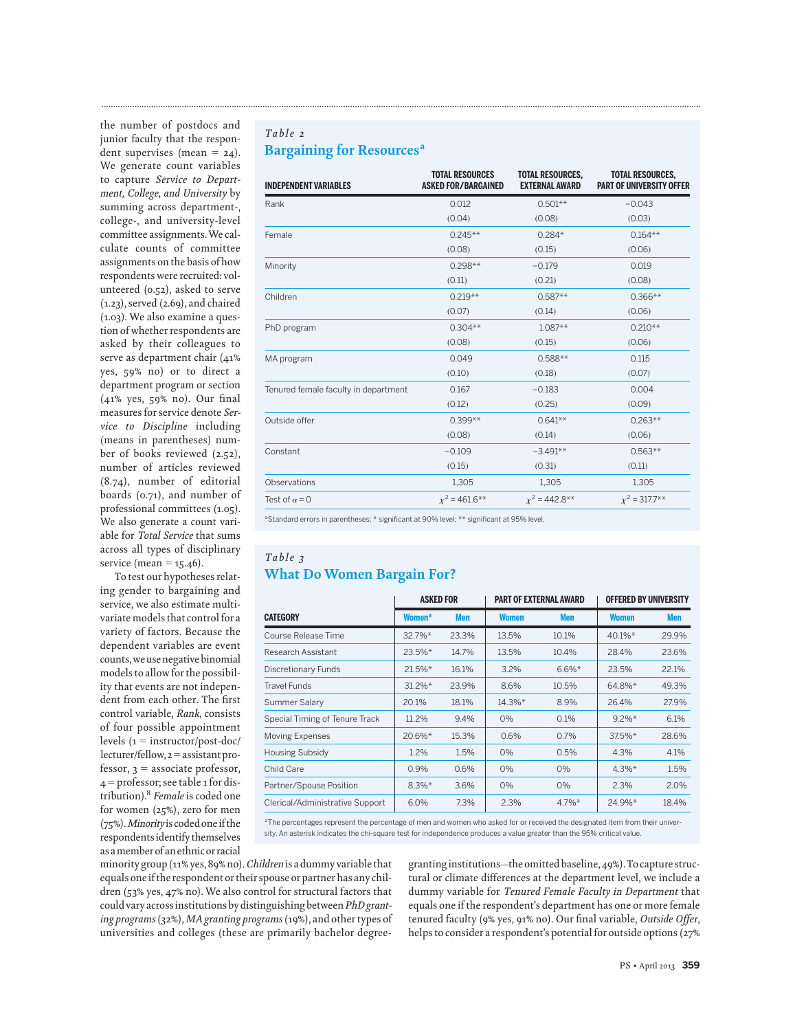the number of postdocs and junior faculty that the respondent supervises (mean  $= 24$ ). We generate count variables to capture *Service to Department, College, and University* by summing across department-, college-, and university-level committee assignments.We calculate counts of committee assignments on the basis of how respondents were recruited: volunteered (0.52), asked to serve (1.23), served (2.69), and chaired (1.03). We also examine a question of whether respondents are asked by their colleagues to serve as department chair (41% yes, 59% no) or to direct a department program or section (41% yes, 59% no). Our final measures for service denote *Service to Discipline* including (means in parentheses) number of books reviewed (2.52), number of articles reviewed (8.74), number of editorial boards (0.71), and number of professional committees (1.05). We also generate a count variable for *Total Service* that sums across all types of disciplinary service (mean  $=$  15.46).

To test our hypotheses relating gender to bargaining and service, we also estimate multivariate models that control for a variety of factors. Because the dependent variables are event counts, we use negative binomial models to allow for the possibility that events are not independent from each other. The first control variable, *Rank*, consists of four possible appointment levels (1 = instructor/post-doc/ lecturer/fellow, 2 = assistant pro $fessor, 3 = associative professor,$ 4-professor; see table 1 for distribution).8 *Female* is coded one for women (25%), zero for men (75%).*Minority*is coded oneif the respondentsidentify themselves asamember ofanethnic or racial

# *Table 2* **Bargaining for Resources<sup>a</sup>**

**.............................................................................................................................................................................................................................................................**

| <b>INDEPENDENT VARIABLES</b>         | <b>TOTAL RESOURCES</b><br><b>ASKED FOR/BARGAINED</b> | <b>TOTAL RESOURCES,</b><br><b>EXTERNAL AWARD</b> | <b>TOTAL RESOURCES,</b><br><b>PART OF UNIVERSITY OFFER</b> |
|--------------------------------------|------------------------------------------------------|--------------------------------------------------|------------------------------------------------------------|
| Rank                                 | 0.012                                                | $0.501**$                                        | $-0.043$                                                   |
|                                      | (0.04)                                               | (0.08)                                           | (0.03)                                                     |
| Female                               | $0.245**$                                            | $0.284*$                                         | $0.164**$                                                  |
|                                      | (0.08)                                               | (0.15)                                           | (0.06)                                                     |
| Minority                             | $0.298**$                                            | $-0.179$                                         | 0.019                                                      |
|                                      | (0.11)                                               | (0.21)                                           | (0.08)                                                     |
| Children                             | $0.219**$                                            | $0.587**$                                        | $0.366**$                                                  |
|                                      | (0.07)                                               | (0.14)                                           | (0.06)                                                     |
| PhD program                          | $0.304**$                                            | $1.087**$                                        | $0.210**$                                                  |
|                                      | (0.08)                                               | (0.15)                                           | (0.06)                                                     |
| MA program                           | 0.049                                                | $0.588**$                                        | 0.115                                                      |
|                                      | (0.10)                                               | (0.18)                                           | (0.07)                                                     |
| Tenured female faculty in department | 0.167                                                | $-0.183$                                         | 0.004                                                      |
|                                      | (0.12)                                               | (0.25)                                           | (0.09)                                                     |
| Outside offer                        | $0.399**$                                            | $0.641**$                                        | $0.263**$                                                  |
|                                      | (0.08)                                               | (0.14)                                           | (0.06)                                                     |
| Constant                             | $-0.109$                                             | $-3.491**$                                       | $0.563**$                                                  |
|                                      | (0.15)                                               | (0.31)                                           | (0.11)                                                     |
| Observations                         | 1,305                                                | 1,305                                            | 1,305                                                      |
| Test of $\alpha = 0$                 | $x^2$ = 461.6**                                      | $x^2$ = 442.8**                                  | $x^2 = 317.7**$                                            |

<sup>a</sup>Standard errors in parentheses; \* significant at 90% level; \*\* significant at 95% level.

## *Table 3* **What Do Women Bargain For?**

|                                 | <b>ASKED FOR</b><br><b>PART OF EXTERNAL AWARD</b> |            |              |            | <b>OFFERED BY UNIVERSITY</b> |            |
|---------------------------------|---------------------------------------------------|------------|--------------|------------|------------------------------|------------|
| CATEGORY                        | <b>Women<sup>a</sup></b>                          | <b>Men</b> | <b>Women</b> | <b>Men</b> | <b>Women</b>                 | <b>Men</b> |
| Course Release Time             | 32.7%*                                            | 23.3%      | 13.5%        | 10.1%      | 40.1%*                       | 29.9%      |
| Research Assistant              | 23.5%*                                            | 14.7%      | 13.5%        | 10.4%      | 28.4%                        | 23.6%      |
| Discretionary Funds             | $21.5\%*$                                         | 16.1%      | 3.2%         | $6.6\%*$   | 23.5%                        | 22.1%      |
| <b>Travel Funds</b>             | $31.2\%$ *                                        | 23.9%      | 8.6%         | 10.5%      | 64.8%*                       | 49.3%      |
| Summer Salary                   | 20.1%                                             | 18.1%      | 14.3%*       | 8.9%       | 26.4%                        | 27.9%      |
| Special Timing of Tenure Track  | 11.2%                                             | 9.4%       | 0%           | 0.1%       | $9.2\%$ *                    | 6.1%       |
| <b>Moving Expenses</b>          | 20.6%*                                            | 15.3%      | 0.6%         | 0.7%       | 37.5%*                       | 28.6%      |
| <b>Housing Subsidy</b>          | 1.2%                                              | 1.5%       | 0%           | 0.5%       | 4.3%                         | 4.1%       |
| Child Care                      | 0.9%                                              | 0.6%       | 0%           | 0%         | $4.3\%*$                     | 1.5%       |
| Partner/Spouse Position         | $8.3\%*$                                          | 3.6%       | 0%           | 0%         | 2.3%                         | 2.0%       |
| Clerical/Administrative Support | 6.0%                                              | 7.3%       | 2.3%         | $4.7\%*$   | $24.9\%*$                    | 18.4%      |

aThe percentages represent the percentage of men and women who asked for or received the designated item from their university. An asterisk indicates the chi-square test for independence produces a value greater than the 95% critical value.

minority group (11% yes, 89% no).*Children*is a dummy variable that equals oneif the respondent or their spouse or partner has any children (53% yes, 47% no). We also control for structural factors that could vary across institutions by distinguishing between PhD grant*ing programs*(32%), *MA granting programs*(19%), and other types of universities and colleges (these are primarily bachelor degree-

grantinginstitutions—the omitted baseline, 49%).To capture structural or climate differences at the department level, we include a dummy variable for *Tenured Female Faculty in Department* that equals one if the respondent's department has one or more female tenured faculty (9% yes, 91% no). Our final variable, *Outside Offer*, helps to consider a respondent's potential for outside options (27%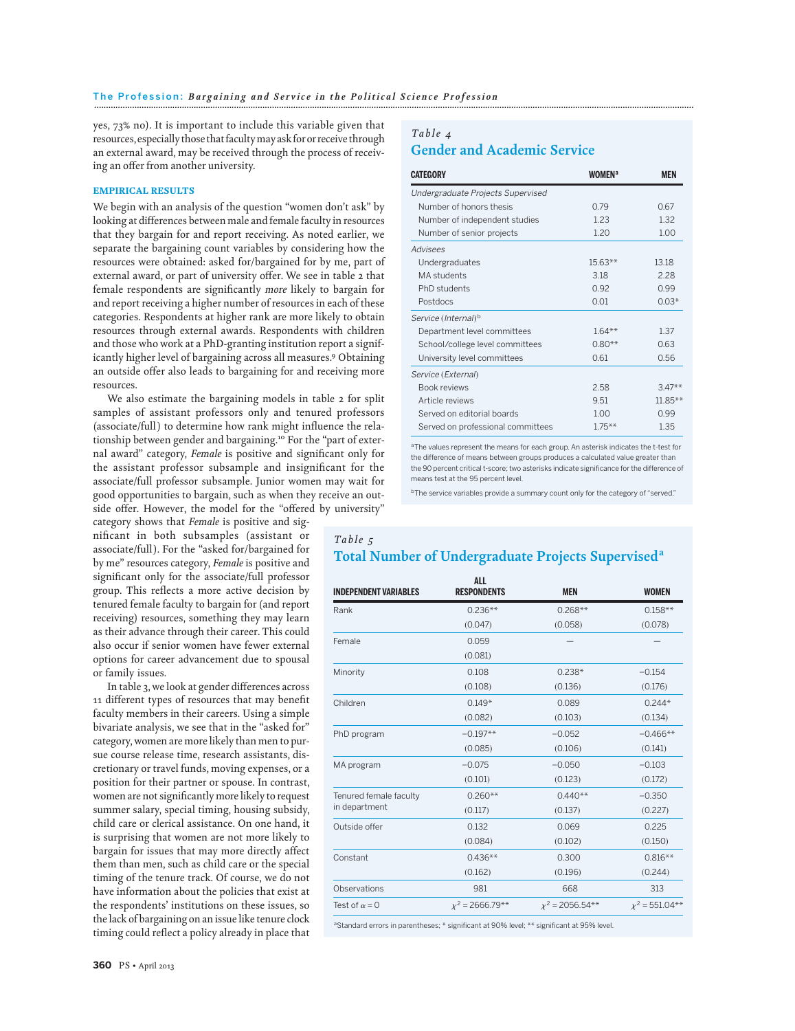yes, 73% no). It is important to include this variable given that resources, especially those that faculty may ask for or receive through an external award, may be received through the process of receiving an offer from another university.

#### EMPIRICAL RESULTS

We begin with an analysis of the question "women don't ask" by looking at differences between male and female faculty in resources that they bargain for and report receiving. As noted earlier, we separate the bargaining count variables by considering how the resources were obtained: asked for/bargained for by me, part of external award, or part of university offer. We see in table 2 that female respondents are significantly *more* likely to bargain for and report receiving a higher number of resources in each of these categories. Respondents at higher rank are more likely to obtain resources through external awards. Respondents with children and those who work at a PhD-granting institution report a significantly higher level of bargaining across all measures.9 Obtaining an outside offer also leads to bargaining for and receiving more resources.

We also estimate the bargaining models in table 2 for split samples of assistant professors only and tenured professors (associate/full) to determine how rank might influence the relationship between gender and bargaining.<sup>10</sup> For the "part of external award" category, *Female* is positive and significant only for the assistant professor subsample and insignificant for the associate/full professor subsample. Junior women may wait for good opportunities to bargain, such as when they receive an outside offer. However, the model for the "offered by university"

category shows that *Female* is positive and significant in both subsamples (assistant or associate/full). For the "asked for/bargained for by me" resources category, *Female* is positive and significant only for the associate/full professor group. This reflects a more active decision by tenured female faculty to bargain for (and report receiving) resources, something they may learn as their advance through their career. This could also occur if senior women have fewer external options for career advancement due to spousal or family issues.

In table 3, we look at gender differences across 11 different types of resources that may benefit faculty members in their careers. Using a simple bivariate analysis, we see that in the "asked for" category, women are more likely than men to pursue course release time, research assistants, discretionary or travel funds, moving expenses, or a position for their partner or spouse. In contrast, women are not significantly more likely to request summer salary, special timing, housing subsidy, child care or clerical assistance. On one hand, it is surprising that women are not more likely to bargain for issues that may more directly affect them than men, such as child care or the special timing of the tenure track. Of course, we do not have information about the policies that exist at the respondents' institutions on these issues, so the lack of bargaining on an issue like tenure clock timing could reflect a policy already in place that

## *Table 4* **Gender and Academic Service**

| CATEGORY                          | <b>WOMFNa</b> | <b>MFN</b> |
|-----------------------------------|---------------|------------|
| Undergraduate Projects Supervised |               |            |
| Number of honors thesis           | 0.79          | 0.67       |
| Number of independent studies     | 1.23          | 1.32       |
| Number of senior projects         | 1.20          | 1.00       |
| Advisees                          |               |            |
| Undergraduates                    | $15.63**$     | 13.18      |
| MA students                       | 3.18          | 2.28       |
| PhD students                      | 0.92          | 0.99       |
| Postdocs                          | 0.01          | $0.03*$    |
| Service (Internal) <sup>b</sup>   |               |            |
| Department level committees       | $1.64***$     | 1.37       |
| School/college level committees   | $0.80**$      | 0.63       |
| University level committees       | 0.61          | 0.56       |
| Service (External)                |               |            |
| Book reviews                      | 2.58          | $3.47**$   |
| Article reviews                   | 9.51          | 11.85**    |
| Served on editorial boards        | 1.00          | 0.99       |
| Served on professional committees | $175***$      | 1.35       |

<sup>a</sup>The values represent the means for each group. An asterisk indicates the t-test for the difference of means between groups produces a calculated value greater than the 90 percent critical t-score; two asterisks indicate significance for the difference of means test at the 95 percent level.

<sup>b</sup>The service variables provide a summary count only for the category of "served."

### *Table 5* **Total Number of Undergraduate Projects Supervised<sup>a</sup>**

| <b>INDEPENDENT VARIABLES</b> | <b>ALL</b><br><b>RESPONDENTS</b> | <b>MEN</b>        | <b>WOMEN</b>     |
|------------------------------|----------------------------------|-------------------|------------------|
| Rank                         | $0.236**$                        | $0.268**$         | $0.158**$        |
|                              | (0.047)                          | (0.058)           | (0.078)          |
| Female                       | 0.059                            |                   |                  |
|                              | (0.081)                          |                   |                  |
| Minority                     | 0.108                            | $0.238*$          | $-0.154$         |
|                              | (0.108)                          | (0.136)           | (0.176)          |
| Children                     | $0.149*$                         | 0.089             | $0.244*$         |
|                              | (0.082)                          | (0.103)           | (0.134)          |
| PhD program                  | $-0.197**$                       | $-0.052$          | $-0.466**$       |
|                              | (0.085)                          | (0.106)           | (0.141)          |
| MA program                   | $-0.075$                         | $-0.050$          | $-0.103$         |
|                              | (0.101)                          | (0.123)           | (0.172)          |
| Tenured female faculty       | $0.260**$                        | $0.440**$         | $-0.350$         |
| in department                | (0.117)                          | (0.137)           | (0.227)          |
| Outside offer                | 0.132                            | 0.069             | 0.225            |
|                              | (0.084)                          | (0.102)           | (0.150)          |
| Constant                     | $0.436**$                        | 0.300             | $0.816***$       |
|                              | (0.162)                          | (0.196)           | (0.244)          |
| Observations                 | 981                              | 668               | 313              |
| Test of $\alpha = 0$         | $x^2$ = 2666.79**                | $x^2$ = 2056.54** | $x^2$ = 551.04** |

<sup>a</sup>Standard errors in parentheses; \* significant at 90% level; \*\* significant at 95% level.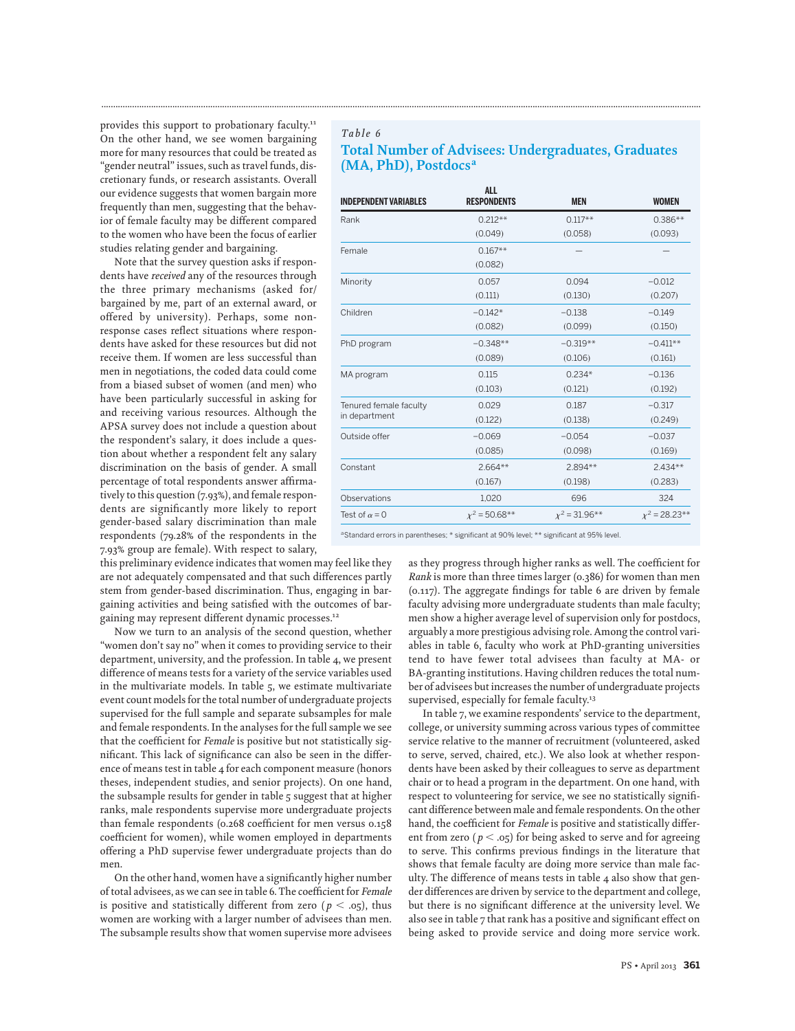provides this support to probationary faculty.<sup>11</sup> On the other hand, we see women bargaining more for many resources that could be treated as "gender neutral" issues, such as travel funds, discretionary funds, or research assistants. Overall our evidence suggests that women bargain more frequently than men, suggesting that the behavior of female faculty may be different compared to the women who have been the focus of earlier studies relating gender and bargaining.

Note that the survey question asks if respondents have *received* any of the resources through the three primary mechanisms (asked for/ bargained by me, part of an external award, or offered by university). Perhaps, some nonresponse cases reflect situations where respondents have asked for these resources but did not receive them. If women are less successful than men in negotiations, the coded data could come from a biased subset of women (and men) who have been particularly successful in asking for and receiving various resources. Although the APSA survey does not include a question about the respondent's salary, it does include a question about whether a respondent felt any salary discrimination on the basis of gender. A small percentage of total respondents answer affirmatively to this question (7.93%), and female respondents are significantly more likely to report gender-based salary discrimination than male respondents (79.28% of the respondents in the 7.93% group are female). With respect to salary,

this preliminary evidence indicates that women may feel like they are not adequately compensated and that such differences partly stem from gender-based discrimination. Thus, engaging in bargaining activities and being satisfied with the outcomes of bargaining may represent different dynamic processes.12

Now we turn to an analysis of the second question, whether "women don't say no" when it comes to providing service to their department, university, and the profession. In table 4, we present difference of means tests for a variety of the service variables used in the multivariate models. In table 5, we estimate multivariate event count models for the total number of undergraduate projects supervised for the full sample and separate subsamples for male and female respondents. In the analyses for the full sample we see that the coefficient for *Female* is positive but not statistically significant. This lack of significance can also be seen in the difference of means test in table 4 for each component measure (honors theses, independent studies, and senior projects). On one hand, the subsample results for gender in table 5 suggest that at higher ranks, male respondents supervise more undergraduate projects than female respondents (0.268 coefficient for men versus 0.158 coefficient for women), while women employed in departments offering a PhD supervise fewer undergraduate projects than do men.

On the other hand, women have a significantly higher number of total advisees, as we can see in table 6. The coefficient for *Female* is positive and statistically different from zero ( $p < .05$ ), thus women are working with a larger number of advisees than men. The subsample results show that women supervise more advisees

## *Table 6* **Total Number of Advisees: Undergraduates, Graduates (MA, PhD), Postdocs<sup>a</sup>**

**.............................................................................................................................................................................................................................................................**

| <b>INDEPENDENT VARIABLES</b> | <b>ALL</b><br><b>RESPONDENTS</b> | <b>MEN</b>      | <b>WOMEN</b>    |
|------------------------------|----------------------------------|-----------------|-----------------|
| Rank                         | $0.212**$                        | $0.117**$       | $0.386**$       |
|                              | (0.049)                          | (0.058)         | (0.093)         |
| Female                       | $0.167**$                        |                 |                 |
|                              | (0.082)                          |                 |                 |
| Minority                     | 0.057                            | 0.094           | $-0.012$        |
|                              | (0.111)                          | (0.130)         | (0.207)         |
| Children                     | $-0.142*$                        | $-0.138$        | $-0.149$        |
|                              | (0.082)                          | (0.099)         | (0.150)         |
| PhD program                  | $-0.348**$                       | $-0.319**$      | $-0.411**$      |
|                              | (0.089)                          | (0.106)         | (0.161)         |
| MA program                   | 0.115                            | $0.234*$        | $-0.136$        |
|                              | (0.103)                          | (0.121)         | (0.192)         |
| Tenured female faculty       | 0.029                            | 0.187           | $-0.317$        |
| in department                | (0.122)                          | (0.138)         | (0.249)         |
| Outside offer                | $-0.069$                         | $-0.054$        | $-0.037$        |
|                              | (0.085)                          | (0.098)         | (0.169)         |
| Constant                     | $2.664**$                        | $2.894**$       | $2.434**$       |
|                              | (0.167)                          | (0.198)         | (0.283)         |
| Observations                 | 1,020                            | 696             | 324             |
| Test of $\alpha = 0$         | $x^2$ = 50.68**                  | $x^2$ = 31.96** | $x^2$ = 28.23** |

<sup>a</sup>Standard errors in parentheses; \* significant at 90% level; \*\* significant at 95% level.

as they progress through higher ranks as well. The coefficient for *Rank* is more than three times larger (0.386) for women than men (0.117). The aggregate findings for table 6 are driven by female faculty advising more undergraduate students than male faculty; men show a higher average level of supervision only for postdocs, arguably a more prestigious advising role. Among the control variables in table 6, faculty who work at PhD-granting universities tend to have fewer total advisees than faculty at MA- or BA-granting institutions. Having children reduces the total number of advisees but increases the number of undergraduate projects supervised, especially for female faculty.<sup>13</sup>

In table 7, we examine respondents' service to the department, college, or university summing across various types of committee service relative to the manner of recruitment (volunteered, asked to serve, served, chaired, etc.). We also look at whether respondents have been asked by their colleagues to serve as department chair or to head a program in the department. On one hand, with respect to volunteering for service, we see no statistically significant difference between male and female respondents. On the other hand, the coefficient for *Female* is positive and statistically different from zero ( $p < .05$ ) for being asked to serve and for agreeing to serve. This confirms previous findings in the literature that shows that female faculty are doing more service than male faculty. The difference of means tests in table 4 also show that gender differences are driven by service to the department and college, but there is no significant difference at the university level. We also see in table 7 that rank has a positive and significant effect on being asked to provide service and doing more service work.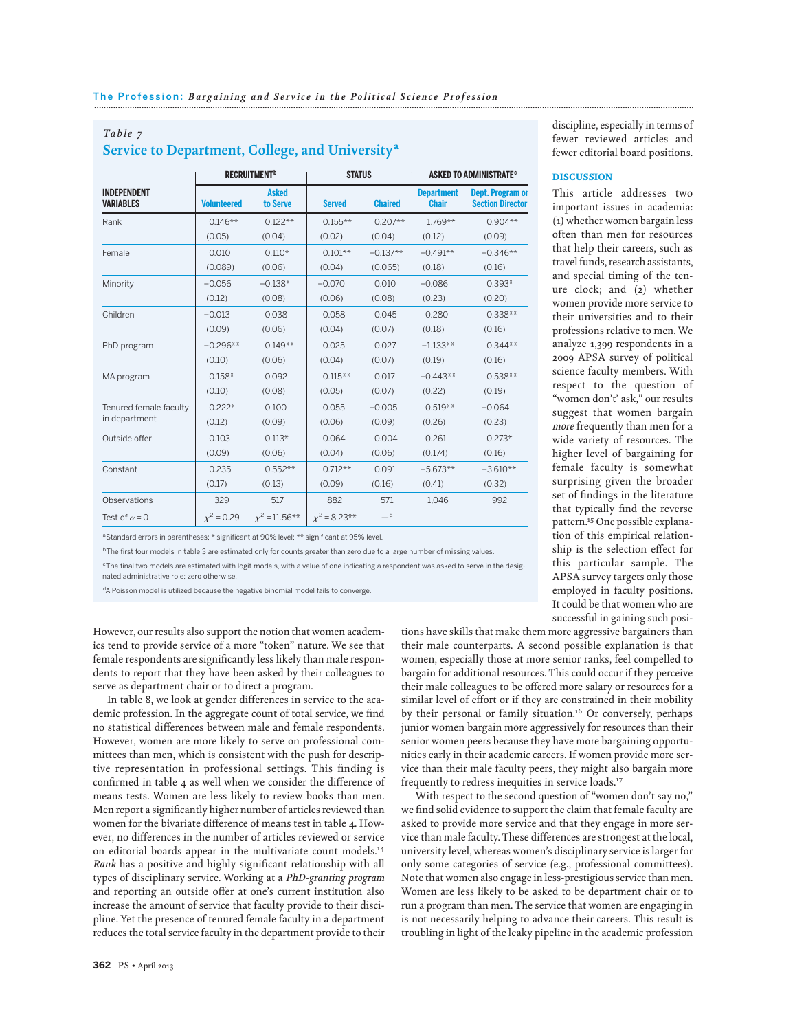## *Table 7* **Service to Department, College, and University<sup>a</sup>**

|                                        | <b>RECRUITMENT<sup>b</sup></b> |                          | <b>STATUS</b>   |                | <b>ASKED TO ADMINISTRATE<sup>c</sup></b> |                                             |
|----------------------------------------|--------------------------------|--------------------------|-----------------|----------------|------------------------------------------|---------------------------------------------|
| <b>INDEPENDENT</b><br><b>VARIABLES</b> | <b>Volunteered</b>             | <b>Asked</b><br>to Serve | <b>Served</b>   | <b>Chaired</b> | <b>Department</b><br><b>Chair</b>        | Dept. Program or<br><b>Section Director</b> |
| Rank                                   | $0.146**$                      | $0.122**$                | $0.155***$      | $0.207**$      | $1.769**$                                | $0.904**$                                   |
|                                        | (0.05)                         | (0.04)                   | (0.02)          | (0.04)         | (0.12)                                   | (0.09)                                      |
| Female                                 | 0.010                          | $0.110*$                 | $0.101**$       | $-0.137**$     | $-0.491**$                               | $-0.346**$                                  |
|                                        | (0.089)                        | (0.06)                   | (0.04)          | (0.065)        | (0.18)                                   | (0.16)                                      |
| Minority                               | $-0.056$                       | $-0.138*$                | $-0.070$        | 0.010          | $-0.086$                                 | $0.393*$                                    |
|                                        | (0.12)                         | (0.08)                   | (0.06)          | (0.08)         | (0.23)                                   | (0.20)                                      |
| Children                               | $-0.013$                       | 0.038                    | 0.058           | 0.045          | 0.280                                    | $0.338**$                                   |
|                                        | (0.09)                         | (0.06)                   | (0.04)          | (0.07)         | (0.18)                                   | (0.16)                                      |
| PhD program                            | $-0.296**$                     | $0.149**$                | 0.025           | 0.027          | $-1.133**$                               | $0.344**$                                   |
|                                        | (0.10)                         | (0.06)                   | (0.04)          | (0.07)         | (0.19)                                   | (0.16)                                      |
| MA program                             | $0.158*$                       | 0.092                    | $0.115***$      | 0.017          | $-0.443**$                               | $0.538**$                                   |
|                                        | (0.10)                         | (0.08)                   | (0.05)          | (0.07)         | (0.22)                                   | (0.19)                                      |
| Tenured female faculty                 | $0.222*$                       | 0.100                    | 0.055           | $-0.005$       | $0.519**$                                | $-0.064$                                    |
| in department                          | (0.12)                         | (0.09)                   | (0.06)          | (0.09)         | (0.26)                                   | (0.23)                                      |
| Outside offer                          | 0.103                          | $0.113*$                 | 0.064           | 0.004          | 0.261                                    | $0.273*$                                    |
|                                        | (0.09)                         | (0.06)                   | (0.04)          | (0.06)         | (0.174)                                  | (0.16)                                      |
| Constant                               | 0.235                          | $0.552**$                | $0.712**$       | 0.091          | $-5.673**$                               | $-3.610**$                                  |
|                                        | (0.17)                         | (0.13)                   | (0.09)          | (0.16)         | (0.41)                                   | (0.32)                                      |
| Observations                           | 329                            | 517                      | 882             | 571            | 1,046                                    | 992                                         |
| Test of $\alpha = 0$                   | $x^2$ = 0.29                   | $x^2 = 11.56$ **         | $x^2 = 8.23***$ | $-$ d          |                                          |                                             |

aStandard errors in parentheses; \* significant at 90% level; \*\* significant at 95% level.

bThe first four models in table 3 are estimated only for counts greater than zero due to a large number of missing values.

cThe final two models are estimated with logit models, with a value of one indicating a respondent was asked to serve in the designated administrative role; zero otherwise.

<sup>d</sup>A Poisson model is utilized because the negative binomial model fails to converge.

However, our results also support the notion that women academics tend to provide service of a more "token" nature. We see that female respondents are significantly less likely than male respondents to report that they have been asked by their colleagues to serve as department chair or to direct a program.

In table 8, we look at gender differences in service to the academic profession. In the aggregate count of total service, we find no statistical differences between male and female respondents. However, women are more likely to serve on professional committees than men, which is consistent with the push for descriptive representation in professional settings. This finding is confirmed in table 4 as well when we consider the difference of means tests. Women are less likely to review books than men. Men report a significantly higher number of articles reviewed than women for the bivariate difference of means test in table 4. However, no differences in the number of articles reviewed or service on editorial boards appear in the multivariate count models.14 *Rank* has a positive and highly significant relationship with all types of disciplinary service. Working at a *PhD-granting program* and reporting an outside offer at one's current institution also increase the amount of service that faculty provide to their discipline. Yet the presence of tenured female faculty in a department reduces the total service faculty in the department provide to their

discipline, especially in terms of fewer reviewed articles and fewer editorial board positions.

#### DISCUSSION

This article addresses two important issues in academia: (1) whether women bargain less often than men for resources that help their careers, such as travel funds, research assistants, and special timing of the tenure clock; and (2) whether women provide more service to their universities and to their professions relative to men.We analyze 1,399 respondents in a 2009 APSA survey of political science faculty members. With respect to the question of "women don't' ask," our results suggest that women bargain *more* frequently than men for a wide variety of resources. The higher level of bargaining for female faculty is somewhat surprising given the broader set of findings in the literature that typically find the reverse pattern.15 One possible explanation of this empirical relationship is the selection effect for this particular sample. The APSA survey targets only those employed in faculty positions. It could be that women who are successful in gaining such posi-

tions have skills that make them more aggressive bargainers than their male counterparts. A second possible explanation is that women, especially those at more senior ranks, feel compelled to bargain for additional resources. This could occur if they perceive their male colleagues to be offered more salary or resources for a similar level of effort or if they are constrained in their mobility by their personal or family situation.<sup>16</sup> Or conversely, perhaps junior women bargain more aggressively for resources than their senior women peers because they have more bargaining opportunities early in their academic careers. If women provide more service than their male faculty peers, they might also bargain more frequently to redress inequities in service loads.17

With respect to the second question of "women don't say no," we find solid evidence to support the claim that female faculty are asked to provide more service and that they engage in more service than male faculty. These differences are strongest at the local, university level, whereas women's disciplinary service is larger for only some categories of service (e.g., professional committees). Note that women also engage in less-prestigious service than men. Women are less likely to be asked to be department chair or to run a program than men. The service that women are engaging in is not necessarily helping to advance their careers. This result is troubling in light of the leaky pipeline in the academic profession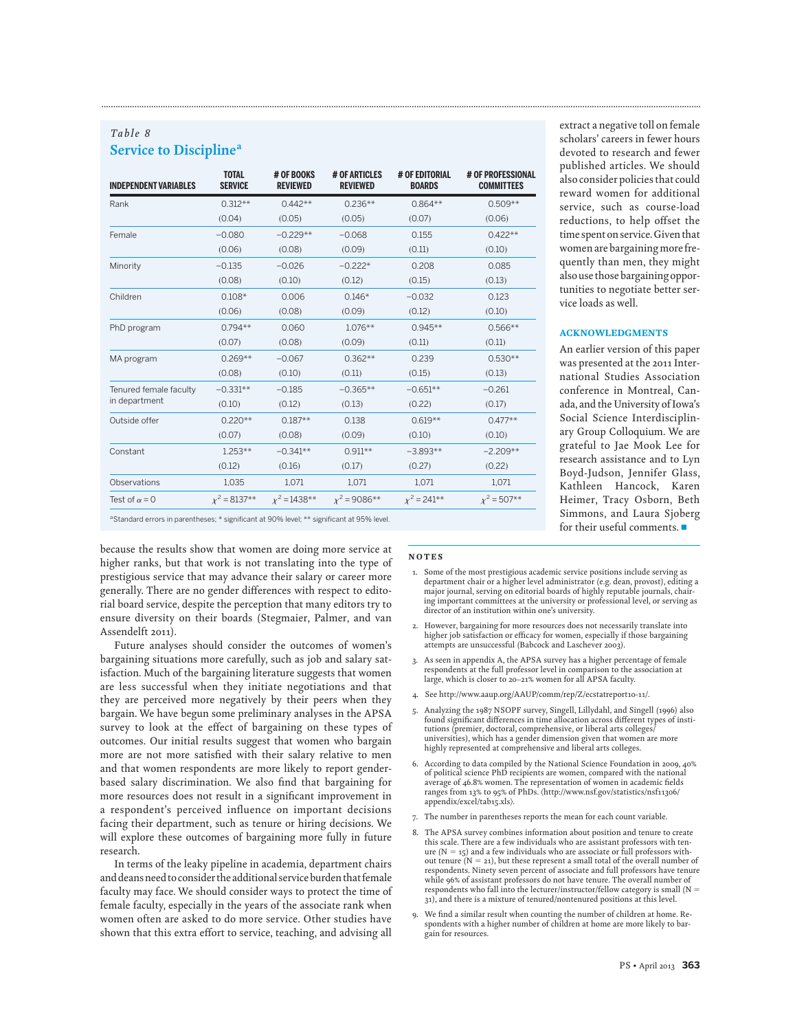## *Table 8* **Service to Discipline<sup>a</sup>**

| <b>INDEPENDENT VARIABLES</b> | <b>TOTAL</b><br><b>SERVICE</b> | # OF BOOKS<br><b>REVIEWED</b> | # OF ARTICLES<br><b>REVIEWED</b> | # OF EDITORIAL<br><b>BOARDS</b> | # OF PROFESSIONAL<br><b>COMMITTEES</b> |
|------------------------------|--------------------------------|-------------------------------|----------------------------------|---------------------------------|----------------------------------------|
| Rank                         | $0.312**$                      | $0.442**$                     | $0.236**$                        | $0.864**$                       | $0.509**$                              |
|                              | (0.04)                         | (0.05)                        | (0.05)                           | (0.07)                          | (0.06)                                 |
| Female                       | $-0.080$                       | $-0.229**$                    | $-0.068$                         | 0.155                           | $0.422**$                              |
|                              | (0.06)                         | (0.08)                        | (0.09)                           | (0.11)                          | (0.10)                                 |
| Minority                     | $-0.135$                       | $-0.026$                      | $-0.222*$                        | 0.208                           | 0.085                                  |
|                              | (0.08)                         | (0.10)                        | (0.12)                           | (0.15)                          | (0.13)                                 |
| Children                     | $0.108*$                       | 0.006                         | $0.146*$                         | $-0.032$                        | 0.123                                  |
|                              | (0.06)                         | (0.08)                        | (0.09)                           | (0.12)                          | (0.10)                                 |
| PhD program                  | $0.794**$                      | 0.060                         | $1.076**$                        | $0.945**$                       | $0.566**$                              |
|                              | (0.07)                         | (0.08)                        | (0.09)                           | (0.11)                          | (0.11)                                 |
| MA program                   | $0.269**$                      | $-0.067$                      | $0.362**$                        | 0.239                           | $0.530**$                              |
|                              | (0.08)                         | (0.10)                        | (0.11)                           | (0.15)                          | (0.13)                                 |
| Tenured female faculty       | $-0.331**$                     | $-0.185$                      | $-0.365**$                       | $-0.651**$                      | $-0.261$                               |
| in department                | (0.10)                         | (0.12)                        | (0.13)                           | (0.22)                          | (0.17)                                 |
| Outside offer                | $0.220**$                      | $0.187**$                     | 0.138                            | $0.619**$                       | $0.477**$                              |
|                              | (0.07)                         | (0.08)                        | (0.09)                           | (0.10)                          | (0.10)                                 |
| Constant                     | $1.253**$                      | $-0.341**$                    | $0.911**$                        | $-3.893**$                      | $-2.209**$                             |
|                              | (0.12)                         | (0.16)                        | (0.17)                           | (0.27)                          | (0.22)                                 |
| Observations                 | 1,035                          | 1,071                         | 1,071                            | 1,071                           | 1,071                                  |
| Test of $\alpha = 0$         | $x^2 = 8137**$                 | $x^2 = 1438$ **               | $x^2 = 9086**$                   | $x^2 = 241$ **                  | $x^2 = 507**$                          |

extract a negative toll on female scholars' careers in fewer hours devoted to research and fewer published articles. We should also consider policies that could reward women for additional service, such as course-load reductions, to help offset the time spent on service.Given that women are bargainingmore frequently than men, they might also use those bargaining opportunities to negotiate better service loads as well.

#### ACKNOWLEDGMENTS

An earlier version of this paper was presented at the 2011 International Studies Association conference in Montreal, Canada, and the University of Iowa's Social Science Interdisciplinary Group Colloquium. We are grateful to Jae Mook Lee for research assistance and to Lyn Boyd-Judson, Jennifer Glass, Kathleen Hancock, Karen Heimer, Tracy Osborn, Beth Simmons, and Laura Sjoberg for their useful comments.  $\blacksquare$ 

<sup>a</sup>Standard errors in parentheses; \* significant at 90% level; \*\* significant at 95% level.

because the results show that women are doing more service at higher ranks, but that work is not translating into the type of prestigious service that may advance their salary or career more generally. There are no gender differences with respect to editorial board service, despite the perception that many editors try to ensure diversity on their boards (Stegmaier, Palmer, and van Assendelft 2011).

Future analyses should consider the outcomes of women's bargaining situations more carefully, such as job and salary satisfaction. Much of the bargaining literature suggests that women are less successful when they initiate negotiations and that they are perceived more negatively by their peers when they bargain. We have begun some preliminary analyses in the APSA survey to look at the effect of bargaining on these types of outcomes. Our initial results suggest that women who bargain more are not more satisfied with their salary relative to men and that women respondents are more likely to report genderbased salary discrimination. We also find that bargaining for more resources does not result in a significant improvement in a respondent's perceived influence on important decisions facing their department, such as tenure or hiring decisions. We will explore these outcomes of bargaining more fully in future research.

In terms of the leaky pipeline in academia, department chairs and deans need to consider the additional service burden that female faculty may face. We should consider ways to protect the time of female faculty, especially in the years of the associate rank when women often are asked to do more service. Other studies have shown that this extra effort to service, teaching, and advising all

#### NOTES

**.............................................................................................................................................................................................................................................................**

- Some of the most prestigious academic service positions include serving as department chair or a higher level administrator (e.g. dean, provost), editing a major journal, serving on editorial boards of highly reputable journals, chairing important committees at the university or professional level, or serving as director of an institution within one's university.
- 2. However, bargaining for more resources does not necessarily translate into higher job satisfaction or efficacy for women, especially if those bargaining attempts are unsuccessful (Babcock and Laschever 2003).
- 3. As seen in appendix A, the APSA survey has a higher percentage of female respondents at the full professor level in comparison to the association at large, which is closer to 20–21% women for all APSA faculty.
- 4. See http://www.aaup.org/AAUP/comm/rep/Z/ecstatreport10-11/.
- 5. Analyzing the 1987 NSOPF survey, Singell, Lillydahl, and Singell (1996) also found significant differences in time allocation across different types of institutions (premier, doctoral, comprehensive, or liberal arts colleges/ universities), which has a gender dimension given that women are more highly represented at comprehensive and liberal arts colleges.
- 6. According to data compiled by the National Science Foundation in 2009, 40% of political science PhD recipients are women, compared with the national average of 46.8% women. The representation of women in academic fields ranges from 13% to 95% of PhDs. ^http://www.nsf.gov/statistics/nsf11306/ appendix/excel/tab15.xls).
- 7. The number in parentheses reports the mean for each count variable.
- 8. The APSA survey combines information about position and tenure to create this scale. There are a few individuals who are assistant professors with tenure ( $N = 15$ ) and a few individuals who are associate or full professors without tenure ( $N = 21$ ), but these represent a small total of the overall number of respondents. Ninety seven percent of associate and full professors have tenure while 96% of assistant professors do not have tenure. The overall number of respondents who fall into the lecturer/instructor/fellow category is small (N = 31), and there is a mixture of tenured/nontenured positions at this level.
- 9. We find a similar result when counting the number of children at home. Respondents with a higher number of children at home are more likely to bargain for resources.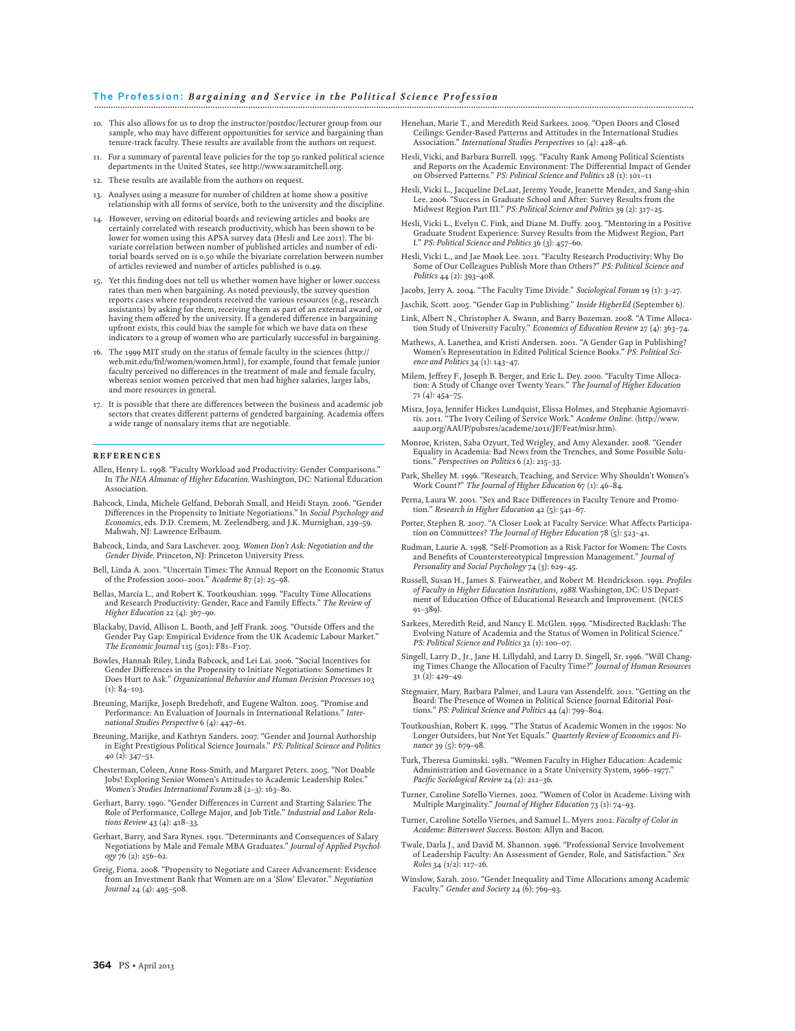- 10. This also allows for us to drop the instructor/postdoc/lecturer group from our sample, who may have different opportunities for service and bargaining than tenure-track faculty. These results are available from the authors on request.
- 11. For a summary of parental leave policies for the top 50 ranked political science departments in the United States, see http://www.saramitchell.org.
- 12. These results are available from the authors on request.
- 13. Analyses using a measure for number of children at home show a positive relationship with all forms of service, both to the university and the discipline.
- 14. However, serving on editorial boards and reviewing articles and books are certainly correlated with research productivity, which has been shown to be lower for women using this APSA survey data (Hesli and Lee 2011). The bivariate correlation between number of published articles and number of edi-torial boards served on is 0.50 while the bivariate correlation between number of articles reviewed and number of articles published is 0.49.
- 15. Yet this finding does not tell us whether women have higher or lower success rates than men when bargaining. As noted previously, the survey question reports cases where respondents received the various resources (e.g., research assistants) by asking for them, receiving them as part of an external award, or having them offered by the university. If a gendered difference in bargaining upfront exists, this could bias the sample for which we have data on these indicators to a group of women who are particularly successful in bargaining.
- 16. The 1999 MIT study on the status of female faculty in the sciences (http:// web.mit.edu/fnl/women/women.html ), for example, found that female junior faculty perceived no differences in the treatment of male and female faculty, whereas senior women perceived that men had higher salaries, larger labs, and more resources in general.
- 17. It is possible that there are differences between the business and academic job sectors that creates different patterns of gendered bargaining. Academia offers a wide range of nonsalary items that are negotiable.

#### **REFERENCES**

- Allen, Henry L. 1998. "Faculty Workload and Productivity: Gender Comparisons." In *The NEA Almanac of Higher Education*. Washington, DC: National Education Association.
- Babcock, Linda, Michele Gelfand, Deborah Small, and Heidi Stayn. 2006. "Gender Differences in the Propensity to Initiate Negotiations." In *Social Psychology and Economics*, eds. D.D. Cremem, M. Zeelendberg, and J.K. Murnighan, 239–59. Mahwah, NJ: Lawrence Erlbaum.
- Babcock, Linda, and Sara Laschever. 2003. *Women Don't Ask: Negotiation and the Gender Divide*. Princeton, NJ: Princeton University Press.
- Bell, Linda A. 2001. "Uncertain Times: The Annual Report on the Economic Status of the Profession 2000–2001." *Academe* 87 (2): 25–98.
- Bellas, Marcia L., and Robert K. Toutkoushian. 1999. "Faculty Time Allocations and Research Productivity: Gender, Race and Family Effects." *The Review of Higher Education* 22 (4): 367–90.
- Blackaby, David, Allison L. Booth, and Jeff Frank. 2005. "Outside Offers and the Gender Pay Gap: Empirical Evidence from the UK Academic Labour Market." *The Economic Journal* 115 (501): F81–F107.
- Bowles, Hannah Riley, Linda Babcock, and Lei Lai. 2006. "Social Incentives for Gender Differences in the Propensity to Initiate Negotiations: Sometimes It Does Hurt to Ask." *Organizational Behavior and Human Decision Processes* 103 (1): 84–103.
- Breuning, Marijke, Joseph Bredehoft, and Eugene Walton. 2005. "Promise and Performance: An Evaluation of Journals in International Relations." *International Studies Perspective* 6 (4): 447–61.
- Breuning, Marijke, and Kathryn Sanders. 2007. "Gender and Journal Authorship in Eight Prestigious Political Science Journals." *PS: Political Science and Politics* 40 (2): 347–51.
- Chesterman, Coleen, Anne Ross-Smith, and Margaret Peters. 2005. "Not Doable Jobs! Exploring Senior Women's Attitudes to Academic Leadership Roles." *Women's Studies International Forum* 28 (2–3): 163–80.
- Gerhart, Barry. 1990. "Gender Differences in Current and Starting Salaries: The Role of Performance, College Major, and Job Title." *Industrial and Labor Relations Review* 43 (4): 418–33.
- Gerhart, Barry, and Sara Rynes. 1991. "Determinants and Consequences of Salary Negotiations by Male and Female MBA Graduates." *Journal of Applied Psychology* 76 (2): 256–62.
- Greig, Fiona. 2008. "Propensity to Negotiate and Career Advancement: Evidence from an Investment Bank that Women are on a 'Slow' Elevator." *Negotiation Journal* 24 (4): 495–508.
- Henehan, Marie T., and Meredith Reid Sarkees. 2009. "Open Doors and Closed Ceilings: Gender-Based Patterns and Attitudes in the International Studies Association." *International Studies Perspectives* 10 (4): 428–46.
- Hesli, Vicki, and Barbara Burrell. 1995. "Faculty Rank Among Political Scientists and Reports on the Academic Environment: The Differential Impact of Gender on Observed Patterns." *PS: Political Science and Politics* 28 (1): 101–11
- Hesli, Vicki L., Jacqueline DeLaat, Jeremy Youde, Jeanette Mendez, and Sang-shin Lee. 2006. "Success in Graduate School and After: Survey Results from the Midwest Region Part III." *PS: Political Science and Politics* 39 (2): 317–25.
- Hesli, Vicki L., Evelyn C. Fink, and Diane M. Duffy. 2003. "Mentoring in a Positive Graduate Student Experience: Survey Results from the Midwest Region, Part I." *PS: Political Science and Politics* 36 (3): 457–60.
- Hesli, Vicki L., and Jae Mook Lee. 2011. "Faculty Research Productivity: Why Do Some of Our Colleagues Publish More than Others?" *PS: Political Science and Politics* 44 (2): 393–408.
- Jacobs, Jerry A. 2004. "The Faculty Time Divide." *Sociological Forum* 19 (1): 3–27.
- Jaschik, Scott. 2005. "Gender Gap in Publishing." *Inside HigherEd* (September 6).
- Link, Albert N., Christopher A. Swann, and Barry Bozeman. 2008. "A Time Allocation Study of University Faculty." *Economics of Education Review* 27 (4): 363–74.
- Mathews, A. Lanethea, and Kristi Andersen. 2001. "A Gender Gap in Publishing? Women's Representation in Edited Political Science Books." *PS: Political Science and Politics* 34 (1): 143–47.
- Milem, Jeffrey F., Joseph B. Berger, and Eric L. Dey. 2000. "Faculty Time Allocation: A Study of Change over Twenty Years." *The Journal of Higher Education* 71 (4): 454–75.
- Misra, Joya, Jennifer Hickes Lundquist, Elissa Holmes, and Stephanie Agiomavritis. 2011. "The Ivory Ceiling of Service Work." *Academe Online*. (http://www. aaup.org/AAUP/pubsres/academe/2011/JF/Feat/misr.htm).
- Monroe, Kristen, Saba Ozyurt, Ted Wrigley, and Amy Alexander. 2008. "Gender Equality in Academia: Bad News from the Trenches, and Some Possible Solutions." *Perspectives on Politics* 6 (2): 215–33.
- Park, Shelley M. 1996. "Research, Teaching, and Service: Why Shouldn't Women's Work Count?" *The Journal of Higher Education* 67 (1): 46–84.
- Perna, Laura W. 2001. "Sex and Race Differences in Faculty Tenure and Promotion." *Research in Higher Education* 42 (5): 541–67.
- Porter, Stephen R. 2007. "A Closer Look at Faculty Service: What Affects Participation on Committees? *The Journal of Higher Education* 78 (5): 523–41.
- Rudman, Laurie A. 1998. "Self-Promotion as a Risk Factor for Women: The Costs and Benefits of Counterstereotypical Impression Management." *Journal of Personality and Social Psychology* 74 (3): 629–45.
- Russell, Susan H., James S. Fairweather, and Robert M. Hendrickson. 1991. *Profiles of Faculty in Higher Education Institutions, 1988*. Washington, DC: US Department of Education Office of Educational Research and Improvement. (NCES 91–389).
- Sarkees, Meredith Reid, and Nancy E. McGlen. 1999. "Misdirected Backlash: The Evolving Nature of Academia and the Status of Women in Political Science." *PS: Political Science and Politics* 32 (1): 100–07.
- Singell, Larry D., Jr., Jane H. Lillydahl, and Larry D. Singell, Sr. 1996. "Will Chang-ing Times Change the Allocation of Faculty Time?" *Journal of Human Resources* 31 (2): 429–49.
- Stegmaier, Mary, Barbara Palmer, and Laura van Assendelft. 2011. "Getting on the Board: The Presence of Women in Political Science Journal Editorial Positions." *PS: Political Science and Politics* 44 (4): 799–804.
- Toutkoushian, Robert K. 1999. "The Status of Academic Women in the 1990s: No Longer Outsiders, but Not Yet Equals." *Quarterly Review of Economics and Finance* 39 (5): 679–98.
- Turk, Theresa Guminski. 1981. "Women Faculty in Higher Education: Academic Administration and Governance in a State University System, 1966–1977." *Pacific Sociological Review* 24 (2): 212–36.
- Turner, Caroline Sotello Viernes. 2002. "Women of Color in Academe: Living with Multiple Marginality." *Journal of Higher Education* 73 (1): 74–93.
- Turner, Caroline Sotello Viernes, and Samuel L. Myers 2002. *Faculty of Color in Academe: Bittersweet Success*. Boston: Allyn and Bacon.
- Twale, Darla J., and David M. Shannon. 1996. "Professional Service Involvement of Leadership Faculty: An Assessment of Gender, Role, and Satisfaction." *Sex Roles* 34 (1/2): 117–26.
- Winslow, Sarah. 2010. "Gender Inequality and Time Allocations among Academic Faculty." *Gender and Society* 24 (6): 769-93.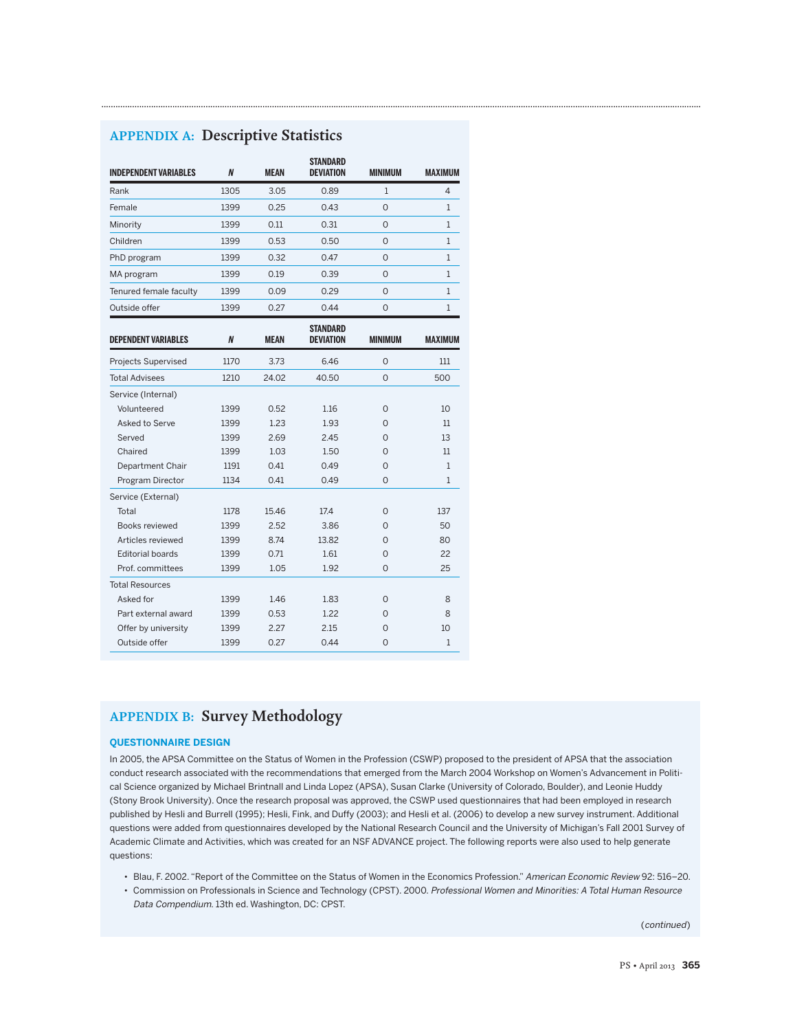## **APPENDIX A: Descriptive Statistics**

| <b>INDEPENDENT VARIABLES</b> | N    | <b>MEAN</b> | <b>STANDARD</b><br><b>DEVIATION</b> | <b>MINIMUM</b> | <b>MAXIMUM</b> |
|------------------------------|------|-------------|-------------------------------------|----------------|----------------|
| Rank                         | 1305 | 3.05        | 0.89                                | $\mathbf{1}$   | 4              |
| Female                       | 1399 | 0.25        | 0.43                                | $\Omega$       | $\mathbf{1}$   |
| Minority                     | 1399 | 0.11        | 0.31                                | $\Omega$       | $\mathbf{1}$   |
| Children                     | 1399 | 0.53        | 0.50                                | $\Omega$       | $\mathbf{1}$   |
| PhD program                  | 1399 | 0.32        | 0.47                                | $\Omega$       | $\mathbf{1}$   |
| MA program                   | 1399 | 0.19        | 0.39                                | $\Omega$       | 1              |
| Tenured female faculty       | 1399 | 0.09        | 0.29                                | $\Omega$       | $\mathbf{1}$   |
| Outside offer                | 1399 | 0.27        | 0.44                                | $\Omega$       | 1              |
| <b>DEPENDENT VARIABLES</b>   | N    | <b>MEAN</b> | <b>STANDARD</b><br><b>DEVIATION</b> | <b>MINIMUM</b> | <b>MAXIMUM</b> |
| <b>Projects Supervised</b>   | 1170 | 3.73        | 6.46                                | $\Omega$       | 111            |
| <b>Total Advisees</b>        | 1210 | 24.02       | 40.50                               | $\Omega$       | 500            |
| Service (Internal)           |      |             |                                     |                |                |
| Volunteered                  | 1399 | 0.52        | 1.16                                | $\Omega$       | 10             |
| Asked to Serve               | 1399 | 1.23        | 1.93                                | $\Omega$       | 11             |
| Served                       | 1399 | 2.69        | 2.45                                | $\Omega$       | 13             |
| Chaired                      | 1399 | 1.03        | 1.50                                | $\Omega$       | 11             |
| Department Chair             | 1191 | 0.41        | 0.49                                | $\Omega$       | $\mathbf{1}$   |
| Program Director             | 1134 | 0.41        | 0.49                                | $\Omega$       | 1              |
| Service (External)           |      |             |                                     |                |                |
| Total                        | 1178 | 15.46       | 17.4                                | $\Omega$       | 137            |
| Books reviewed               | 1399 | 2.52        | 3.86                                | $\Omega$       | 50             |
| Articles reviewed            | 1399 | 8.74        | 13.82                               | $\Omega$       | 80             |
| <b>Editorial boards</b>      | 1399 | 0.71        | 1.61                                | $\Omega$       | 22             |
| Prof. committees             | 1399 | 1.05        | 1.92                                | 0              | 25             |
| <b>Total Resources</b>       |      |             |                                     |                |                |
| Asked for                    | 1399 | 146         | 1.83                                | $\Omega$       | 8              |
| Part external award          | 1399 | 0.53        | 1.22                                | $\Omega$       | 8              |
| Offer by university          | 1399 | 2.27        | 2.15                                | $\Omega$       | 10             |
| Outside offer                | 1399 | 0.27        | 0.44                                | $\Omega$       | $\mathbf{1}$   |

# **APPENDIX B: Survey Methodology**

#### **QUESTIONNAIRE DESIGN**

In 2005, the APSA Committee on the Status of Women in the Profession (CSWP) proposed to the president of APSA that the association conduct research associated with the recommendations that emerged from the March 2004 Workshop on Women's Advancement in Political Science organized by Michael Brintnall and Linda Lopez (APSA), Susan Clarke (University of Colorado, Boulder), and Leonie Huddy (Stony Brook University). Once the research proposal was approved, the CSWP used questionnaires that had been employed in research published by Hesli and Burrell (1995); Hesli, Fink, and Duffy (2003); and Hesli et al. (2006) to develop a new survey instrument. Additional questions were added from questionnaires developed by the National Research Council and the University of Michigan's Fall 2001 Survey of Academic Climate and Activities, which was created for an NSF ADVANCE project. The following reports were also used to help generate questions:

**.............................................................................................................................................................................................................................................................**

- Blau, F. 2002. "Report of the Committee on the Status of Women in the Economics Profession." American Economic Review 92: 516–20.
- Commission on Professionals in Science and Technology (CPST). 2000. Professional Women and Minorities: A Total Human Resource Data Compendium. 13th ed. Washington, DC: CPST.

(continued)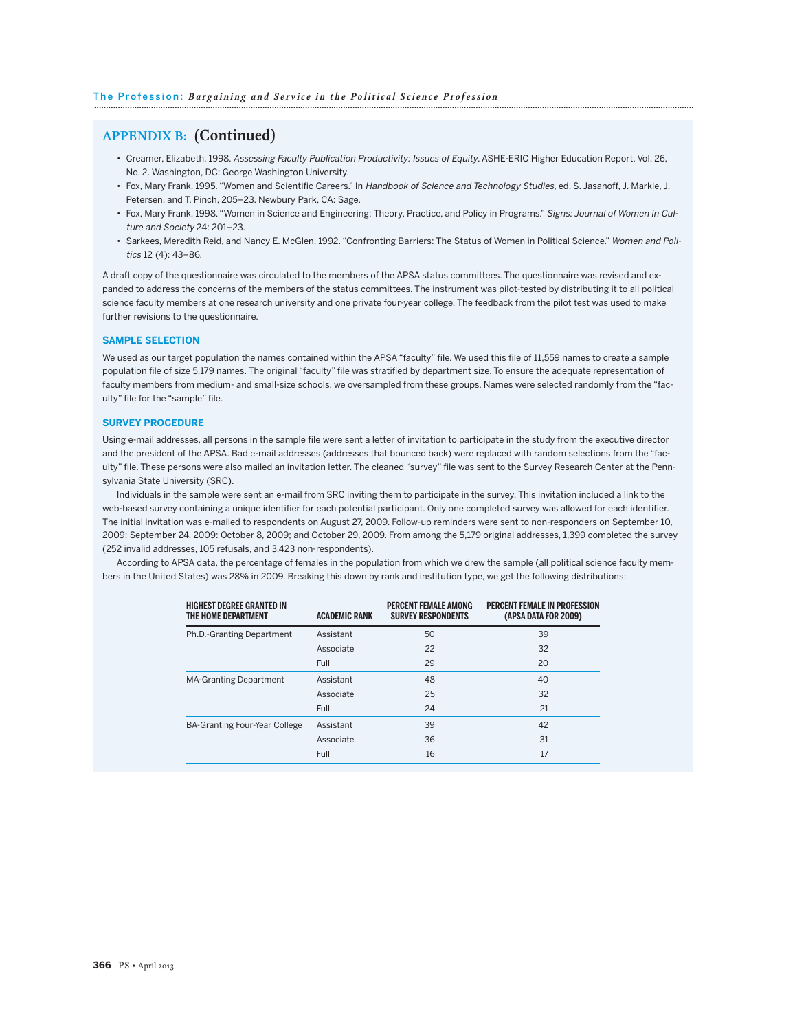## **APPENDIX B: (Continued)**

- Creamer, Elizabeth. 1998. Assessing Faculty Publication Productivity: Issues of Equity. ASHE-ERIC Higher Education Report, Vol. 26, No. 2. Washington, DC: George Washington University.
- Fox, Mary Frank. 1995. "Women and Scientific Careers." In Handbook of Science and Technology Studies, ed. S. Jasanoff, J. Markle, J. Petersen, and T. Pinch, 205–23. Newbury Park, CA: Sage.
- Fox, Mary Frank. 1998. "Women in Science and Engineering: Theory, Practice, and Policy in Programs." Signs: Journal of Women in Culture and Society 24: 201–23.
- Sarkees, Meredith Reid, and Nancy E. McGlen. 1992. "Confronting Barriers: The Status of Women in Political Science." Women and Politics 12 (4): 43–86.

A draft copy of the questionnaire was circulated to the members of the APSA status committees. The questionnaire was revised and expanded to address the concerns of the members of the status committees. The instrument was pilot-tested by distributing it to all political science faculty members at one research university and one private four-year college. The feedback from the pilot test was used to make further revisions to the questionnaire.

#### **SAMPLE SELECTION**

We used as our target population the names contained within the APSA "faculty" file. We used this file of 11,559 names to create a sample population file of size 5,179 names. The original "faculty" file was stratified by department size. To ensure the adequate representation of faculty members from medium- and small-size schools, we oversampled from these groups. Names were selected randomly from the "faculty" file for the "sample" file.

#### **SURVEY PROCEDURE**

Using e-mail addresses, all persons in the sample file were sent a letter of invitation to participate in the study from the executive director and the president of the APSA. Bad e-mail addresses (addresses that bounced back) were replaced with random selections from the "faculty" file. These persons were also mailed an invitation letter. The cleaned "survey" file was sent to the Survey Research Center at the Pennsylvania State University (SRC).

Individuals in the sample were sent an e-mail from SRC inviting them to participate in the survey. This invitation included a link to the web-based survey containing a unique identifier for each potential participant. Only one completed survey was allowed for each identifier. The initial invitation was e-mailed to respondents on August 27, 2009. Follow-up reminders were sent to non-responders on September 10, 2009; September 24, 2009: October 8, 2009; and October 29, 2009. From among the 5,179 original addresses, 1,399 completed the survey (252 invalid addresses, 105 refusals, and 3,423 non-respondents).

According to APSA data, the percentage of females in the population from which we drew the sample (all political science faculty members in the United States) was 28% in 2009. Breaking this down by rank and institution type, we get the following distributions:

| <b>HIGHEST DEGREE GRANTED IN</b><br>THE HOME DEPARTMENT | <b>ACADEMIC RANK</b> | <b>PERCENT FEMALE AMONG</b><br><b>SURVEY RESPONDENTS</b> | <b>PERCENT FEMALE IN PROFESSION</b><br>(APSA DATA FOR 2009) |
|---------------------------------------------------------|----------------------|----------------------------------------------------------|-------------------------------------------------------------|
| Ph.D.-Granting Department                               | Assistant            | 50                                                       | 39                                                          |
|                                                         | Associate            | 22                                                       | 32                                                          |
|                                                         | <b>Full</b>          | 29                                                       | 20                                                          |
| <b>MA-Granting Department</b>                           | Assistant            | 48                                                       | 40                                                          |
|                                                         | Associate            | 25                                                       | 32                                                          |
|                                                         | <b>Full</b>          | 24                                                       | 21                                                          |
| <b>BA-Granting Four-Year College</b>                    | Assistant            | 39                                                       | 42                                                          |
|                                                         | Associate            | 36                                                       | 31                                                          |
|                                                         | Full                 | 16                                                       | 17                                                          |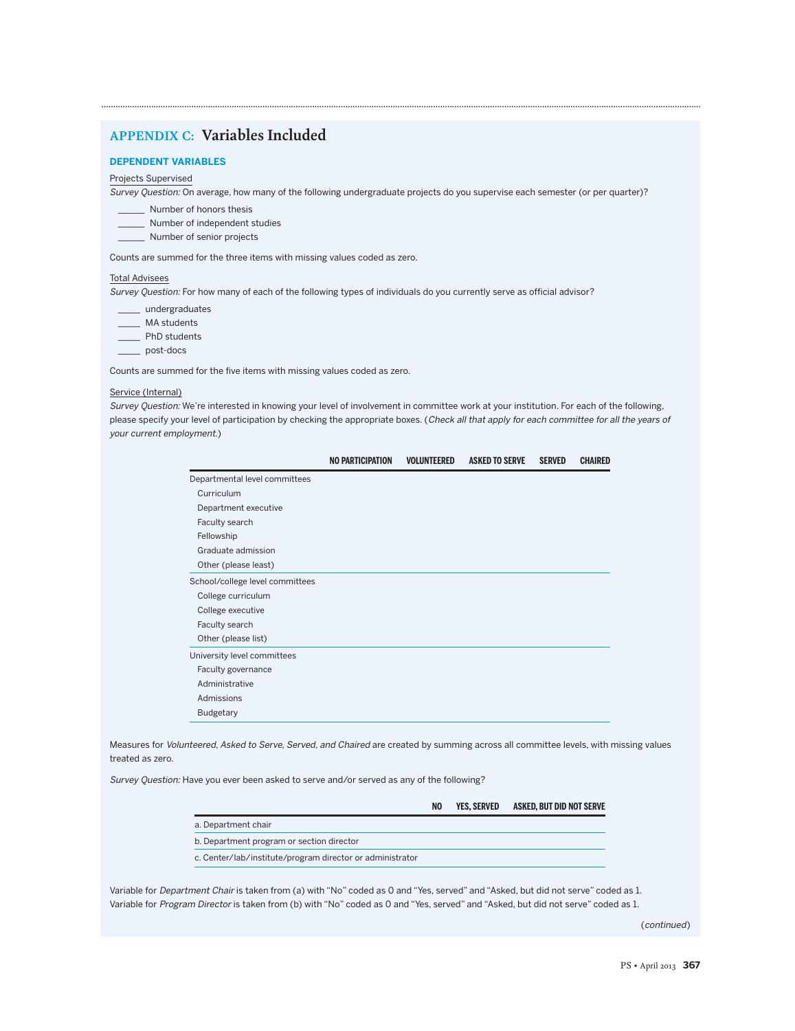# **APPENDIX C: Variables Included**

#### **DEPENDENT VARIABLES**

#### Projects Supervised

Survey Question: On average, how many of the following undergraduate projects do you supervise each semester (or per quarter)?

**.............................................................................................................................................................................................................................................................**

Number of honors thesis

\_\_\_\_\_\_ Number of independent studies

\_\_\_\_\_\_ Number of senior projects

Counts are summed for the three items with missing values coded as zero.

#### Total Advisees

Survey Question: For how many of each of the following types of individuals do you currently serve as official advisor?

\_\_\_\_\_ undergraduates

\_\_\_\_\_ MA students

\_\_\_\_\_ PhD students

\_\_\_\_\_ post-docs

Counts are summed for the five items with missing values coded as zero.

#### Service (Internal)

Survey Question: We're interested in knowing your level of involvement in committee work at your institution. For each of the following, please specify your level of participation by checking the appropriate boxes. (Check all that apply for each committee for all the years of your current employment.)

|                                 | <b>NO PARTICIPATION</b> | <b>VOLUNTEERED</b> | <b>ASKED TO SERVE</b> | <b>SERVED</b> | <b>CHAIRFD</b> |
|---------------------------------|-------------------------|--------------------|-----------------------|---------------|----------------|
| Departmental level committees   |                         |                    |                       |               |                |
| Curriculum                      |                         |                    |                       |               |                |
| Department executive            |                         |                    |                       |               |                |
| Faculty search                  |                         |                    |                       |               |                |
| Fellowship                      |                         |                    |                       |               |                |
| Graduate admission              |                         |                    |                       |               |                |
| Other (please least)            |                         |                    |                       |               |                |
| School/college level committees |                         |                    |                       |               |                |
| College curriculum              |                         |                    |                       |               |                |
| College executive               |                         |                    |                       |               |                |
| Faculty search                  |                         |                    |                       |               |                |
| Other (please list)             |                         |                    |                       |               |                |
| University level committees     |                         |                    |                       |               |                |
| Faculty governance              |                         |                    |                       |               |                |
| Administrative                  |                         |                    |                       |               |                |
| Admissions                      |                         |                    |                       |               |                |
| <b>Budgetary</b>                |                         |                    |                       |               |                |

Measures for Volunteered, Asked to Serve, Served, and Chaired are created by summing across all committee levels, with missing values treated as zero.

Survey Question: Have you ever been asked to serve and/or served as any of the following?

|                                                           | NO. | <b>YES. SERVED</b> | ASKED. BUT DID NOT SERVE |
|-----------------------------------------------------------|-----|--------------------|--------------------------|
| a. Department chair                                       |     |                    |                          |
| b. Department program or section director                 |     |                    |                          |
| c. Center/lab/institute/program director or administrator |     |                    |                          |

Variable for Department Chair is taken from (a) with "No" coded as 0 and "Yes, served" and "Asked, but did not serve" coded as 1. Variable for Program Director is taken from (b) with "No" coded as 0 and "Yes, served" and "Asked, but did not serve" coded as 1.

(continued)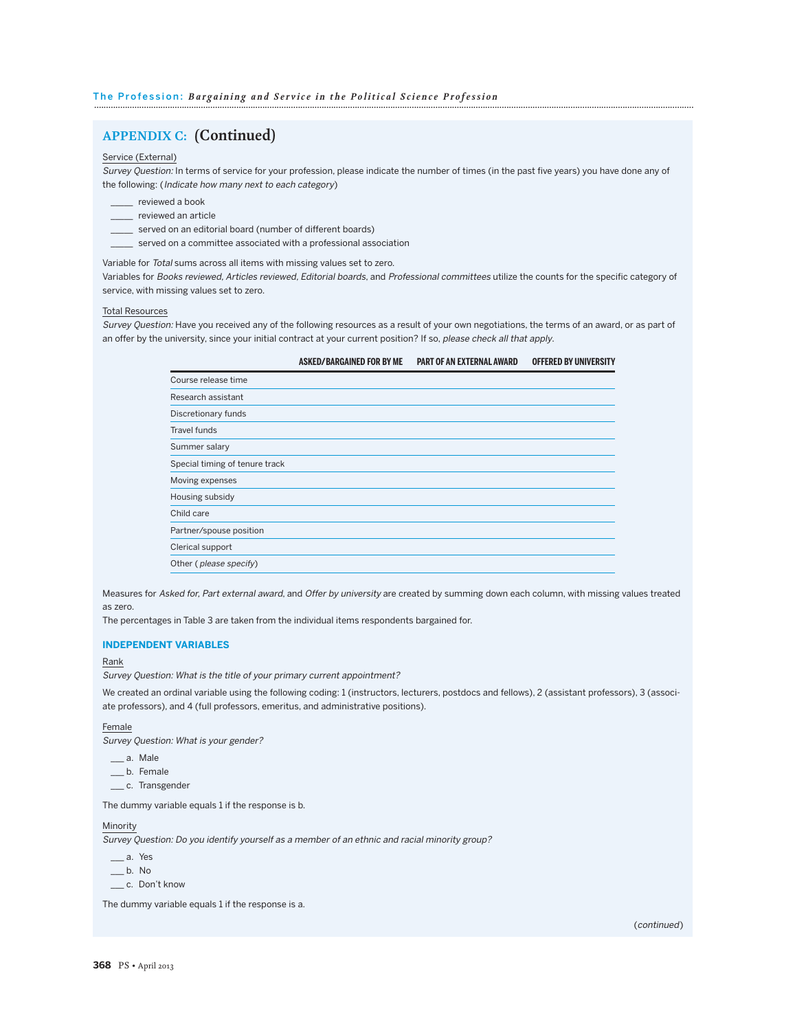## **APPENDIX C: (Continued)**

#### Service (External)

Survey Question: In terms of service for your profession, please indicate the number of times (in the past five years) you have done any of the following: (Indicate how many next to each category)

- \_\_\_\_\_ reviewed a book
- \_\_\_\_\_ reviewed an article
- \_\_\_\_\_ served on an editorial board (number of different boards)
- \_\_\_\_\_ served on a committee associated with a professional association

Variable for Total sums across all items with missing values set to zero.

Variables for Books reviewed, Articles reviewed, Editorial boards, and Professional committees utilize the counts for the specific category of service, with missing values set to zero.

#### Total Resources

Survey Question: Have you received any of the following resources as a result of your own negotiations, the terms of an award, or as part of an offer by the university, since your initial contract at your current position? If so, please check all that apply.

|                                | <b>ASKED/BARGAINED FOR BY ME</b> | <b>PART OF AN EXTERNAL AWARD</b> | <b>OFFERED BY UNIVERSITY</b> |
|--------------------------------|----------------------------------|----------------------------------|------------------------------|
| Course release time            |                                  |                                  |                              |
| Research assistant             |                                  |                                  |                              |
| Discretionary funds            |                                  |                                  |                              |
| <b>Travel funds</b>            |                                  |                                  |                              |
| Summer salary                  |                                  |                                  |                              |
| Special timing of tenure track |                                  |                                  |                              |
| Moving expenses                |                                  |                                  |                              |
| Housing subsidy                |                                  |                                  |                              |
| Child care                     |                                  |                                  |                              |
| Partner/spouse position        |                                  |                                  |                              |
| Clerical support               |                                  |                                  |                              |
| Other (please specify)         |                                  |                                  |                              |
|                                |                                  |                                  |                              |

Measures for Asked for, Part external award, and Offer by university are created by summing down each column, with missing values treated as zero.

The percentages in Table 3 are taken from the individual items respondents bargained for.

#### **INDEPENDENT VARIABLES**

#### Rank

Survey Question: What is the title of your primary current appointment?

We created an ordinal variable using the following coding: 1 (instructors, lecturers, postdocs and fellows), 2 (assistant professors), 3 (associate professors), and 4 (full professors, emeritus, and administrative positions).

#### Female

Survey Question: What is your gender?

- \_\_\_ a. Male
- \_\_\_ b. Female
- \_ c. Transgender

The dummy variable equals 1 if the response is b.

#### Minority

Survey Question: Do you identify yourself as <sup>a</sup> member of an ethnic and racial minority group?

- \_\_\_ a. Yes
- \_\_\_ b. No
- \_c. Don't know

The dummy variable equals 1 if the response is a.